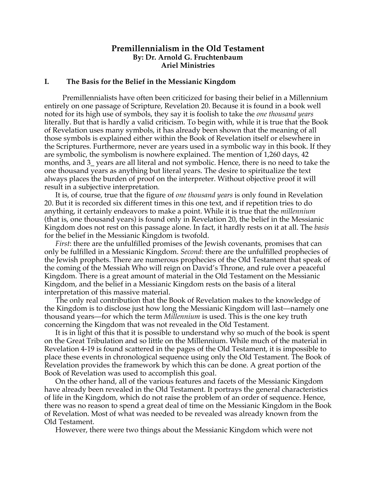# **Premillennialism in the Old Testament By: Dr. Arnold G. Fruchtenbaum Ariel Ministries**

### **I. The Basis for the Belief in the Messianic Kingdom**

Premillennialists have often been criticized for basing their belief in a Millennium entirely on one passage of Scripture, Revelation 20. Because it is found in a book well noted for its high use of symbols, they say it is foolish to take the *one thousand years* literally. But that is hardly a valid criticism. To begin with, while it is true that the Book of Revelation uses many symbols, it has already been shown that the meaning of all those symbols is explained either within the Book of Revelation itself or elsewhere in the Scriptures. Furthermore, never are years used in a symbolic way in this book. If they are symbolic, the symbolism is nowhere explained. The mention of 1,260 days, 42 months, and 3\_ years are all literal and not symbolic. Hence, there is no need to take the one thousand years as anything but literal years. The desire to spiritualize the text always places the burden of proof on the interpreter. Without objective proof it will result in a subjective interpretation.

It is, of course, true that the figure of *one thousand years* is only found in Revelation 20. But it is recorded six different times in this one text, and if repetition tries to do anything, it certainly endeavors to make a point. While it is true that the *millennium* (that is, one thousand years) is found only in Revelation 20, the belief in the Messianic Kingdom does not rest on this passage alone. In fact, it hardly rests on it at all. The *basis* for the belief in the Messianic Kingdom is twofold.

*First*: there are the unfulfilled promises of the Jewish covenants, promises that can only be fulfilled in a Messianic Kingdom. *Second*: there are the unfulfilled prophecies of the Jewish prophets. There are numerous prophecies of the Old Testament that speak of the coming of the Messiah Who will reign on David's Throne, and rule over a peaceful Kingdom. There is a great amount of material in the Old Testament on the Messianic Kingdom, and the belief in a Messianic Kingdom rests on the basis of a literal interpretation of this massive material.

The only real contribution that the Book of Revelation makes to the knowledge of the Kingdom is to disclose just how long the Messianic Kingdom will last—namely one thousand years—for which the term *Millennium* is used. This is the one key truth concerning the Kingdom that was not revealed in the Old Testament.

It is in light of this that it is possible to understand why so much of the book is spent on the Great Tribulation and so little on the Millennium. While much of the material in Revelation 4-19 is found scattered in the pages of the Old Testament, it is impossible to place these events in chronological sequence using only the Old Testament. The Book of Revelation provides the framework by which this can be done. A great portion of the Book of Revelation was used to accomplish this goal.

On the other hand, all of the various features and facets of the Messianic Kingdom have already been revealed in the Old Testament. It portrays the general characteristics of life in the Kingdom, which do not raise the problem of an order of sequence. Hence, there was no reason to spend a great deal of time on the Messianic Kingdom in the Book of Revelation. Most of what was needed to be revealed was already known from the Old Testament.

However, there were two things about the Messianic Kingdom which were not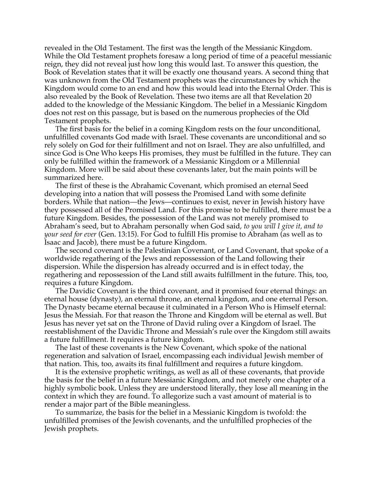revealed in the Old Testament. The first was the length of the Messianic Kingdom. While the Old Testament prophets foresaw a long period of time of a peaceful messianic reign, they did not reveal just how long this would last. To answer this question, the Book of Revelation states that it will be exactly one thousand years. A second thing that was unknown from the Old Testament prophets was the circumstances by which the Kingdom would come to an end and how this would lead into the Eternal Order. This is also revealed by the Book of Revelation. These two items are all that Revelation 20 added to the knowledge of the Messianic Kingdom. The belief in a Messianic Kingdom does not rest on this passage, but is based on the numerous prophecies of the Old Testament prophets.

The first basis for the belief in a coming Kingdom rests on the four unconditional, unfulfilled covenants God made with Israel. These covenants are unconditional and so rely solely on God for their fulfillment and not on Israel. They are also unfulfilled, and since God is One Who keeps His promises, they must be fulfilled in the future. They can only be fulfilled within the framework of a Messianic Kingdom or a Millennial Kingdom. More will be said about these covenants later, but the main points will be summarized here.

The first of these is the Abrahamic Covenant, which promised an eternal Seed developing into a nation that will possess the Promised Land with some definite borders. While that nation—the Jews—continues to exist, never in Jewish history have they possessed all of the Promised Land. For this promise to be fulfilled, there must be a future Kingdom. Besides, the possession of the Land was not merely promised to Abraham's seed, but to Abraham personally when God said, *to you will I give it, and to your seed for ever* (Gen. 13:15). For God to fulfill His promise to Abraham (as well as to Isaac and Jacob), there must be a future Kingdom.

The second covenant is the Palestinian Covenant, or Land Covenant, that spoke of a worldwide regathering of the Jews and repossession of the Land following their dispersion. While the dispersion has already occurred and is in effect today, the regathering and repossession of the Land still awaits fulfillment in the future. This, too, requires a future Kingdom.

The Davidic Covenant is the third covenant, and it promised four eternal things: an eternal house (dynasty), an eternal throne, an eternal kingdom, and one eternal Person. The Dynasty became eternal because it culminated in a Person Who is Himself eternal: Jesus the Messiah. For that reason the Throne and Kingdom will be eternal as well. But Jesus has never yet sat on the Throne of David ruling over a Kingdom of Israel. The reestablishment of the Davidic Throne and Messiah's rule over the Kingdom still awaits a future fulfillment. It requires a future kingdom.

The last of these covenants is the New Covenant, which spoke of the national regeneration and salvation of Israel, encompassing each individual Jewish member of that nation. This, too, awaits its final fulfillment and requires a future kingdom.

It is the extensive prophetic writings, as well as all of these covenants, that provide the basis for the belief in a future Messianic Kingdom, and not merely one chapter of a highly symbolic book. Unless they are understood literally, they lose all meaning in the context in which they are found. To allegorize such a vast amount of material is to render a major part of the Bible meaningless.

To summarize, the basis for the belief in a Messianic Kingdom is twofold: the unfulfilled promises of the Jewish covenants, and the unfulfilled prophecies of the Jewish prophets.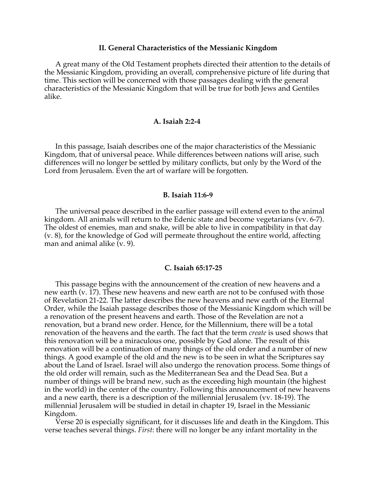### **II. General Characteristics of the Messianic Kingdom**

A great many of the Old Testament prophets directed their attention to the details of the Messianic Kingdom, providing an overall, comprehensive picture of life during that time. This section will be concerned with those passages dealing with the general characteristics of the Messianic Kingdom that will be true for both Jews and Gentiles alike.

# **A. Isaiah 2:2-4**

In this passage, Isaiah describes one of the major characteristics of the Messianic Kingdom, that of universal peace. While differences between nations will arise, such differences will no longer be settled by military conflicts, but only by the Word of the Lord from Jerusalem. Even the art of warfare will be forgotten.

### **B. Isaiah 11:6-9**

The universal peace described in the earlier passage will extend even to the animal kingdom. All animals will return to the Edenic state and become vegetarians (vv. 6-7). The oldest of enemies, man and snake, will be able to live in compatibility in that day (v. 8), for the knowledge of God will permeate throughout the entire world, affecting man and animal alike (v. 9).

# **C. Isaiah 65:17-25**

This passage begins with the announcement of the creation of new heavens and a new earth (v. 17). These new heavens and new earth are not to be confused with those of Revelation 21-22. The latter describes the new heavens and new earth of the Eternal Order, while the Isaiah passage describes those of the Messianic Kingdom which will be a renovation of the present heavens and earth. Those of the Revelation are not a renovation, but a brand new order. Hence, for the Millennium, there will be a total renovation of the heavens and the earth. The fact that the term *create* is used shows that this renovation will be a miraculous one, possible by God alone. The result of this renovation will be a continuation of many things of the old order and a number of new things. A good example of the old and the new is to be seen in what the Scriptures say about the Land of Israel. Israel will also undergo the renovation process. Some things of the old order will remain, such as the Mediterranean Sea and the Dead Sea. But a number of things will be brand new, such as the exceeding high mountain (the highest in the world) in the center of the country. Following this announcement of new heavens and a new earth, there is a description of the millennial Jerusalem (vv. 18-19). The millennial Jerusalem will be studied in detail in chapter 19, Israel in the Messianic Kingdom.

Verse 20 is especially significant, for it discusses life and death in the Kingdom. This verse teaches several things. *First*: there will no longer be any infant mortality in the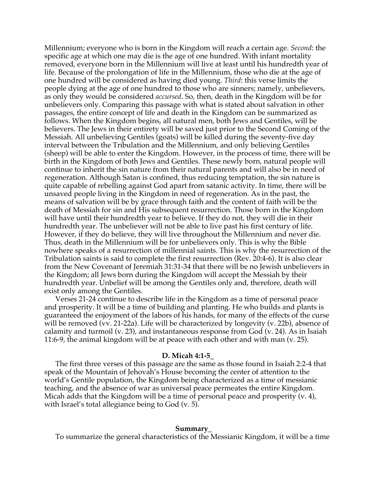Millennium; everyone who is born in the Kingdom will reach a certain age. *Second*: the specific age at which one may die is the age of one hundred. With infant mortality removed, everyone born in the Millennium will live at least until his hundredth year of life. Because of the prolongation of life in the Millennium, those who die at the age of one hundred will be considered as having died young. *Third*: this verse limits the people dying at the age of one hundred to those who are sinners; namely, unbelievers, as only they would be considered *accursed*. So, then, death in the Kingdom will be for unbelievers only. Comparing this passage with what is stated about salvation in other passages, the entire concept of life and death in the Kingdom can be summarized as follows. When the Kingdom begins, all natural men, both Jews and Gentiles, will be believers. The Jews in their entirety will be saved just prior to the Second Coming of the Messiah. All unbelieving Gentiles (goats) will be killed during the seventy-five day interval between the Tribulation and the Millennium, and only believing Gentiles (sheep) will be able to enter the Kingdom. However, in the process of time, there will be birth in the Kingdom of both Jews and Gentiles. These newly born, natural people will continue to inherit the sin nature from their natural parents and will also be in need of regeneration. Although Satan is confined, thus reducing temptation, the sin nature is quite capable of rebelling against God apart from satanic activity. In time, there will be unsaved people living in the Kingdom in need of regeneration. As in the past, the means of salvation will be by grace through faith and the content of faith will be the death of Messiah for sin and His subsequent resurrection. Those born in the Kingdom will have until their hundredth year to believe. If they do not, they will die in their hundredth year. The unbeliever will not be able to live past his first century of life. However, if they do believe, they will live throughout the Millennium and never die. Thus, death in the Millennium will be for unbelievers only. This is why the Bible nowhere speaks of a resurrection of millennial saints. This is why the resurrection of the Tribulation saints is said to complete the first resurrection (Rev. 20:4-6). It is also clear from the New Covenant of Jeremiah 31:31-34 that there will be no Jewish unbelievers in the Kingdom; all Jews born during the Kingdom will accept the Messiah by their hundredth year. Unbelief will be among the Gentiles only and, therefore, death will exist only among the Gentiles.

Verses 21-24 continue to describe life in the Kingdom as a time of personal peace and prosperity. It will be a time of building and planting. He who builds and plants is guaranteed the enjoyment of the labors of his hands, for many of the effects of the curse will be removed (vv. 21-22a). Life will be characterized by longevity (v. 22b), absence of calamity and turmoil (v. 23), and instantaneous response from God (v. 24). As in Isaiah 11:6-9, the animal kingdom will be at peace with each other and with man (v. 25).

# **D. Micah 4:1-5\_**

The first three verses of this passage are the same as those found in Isaiah 2:2-4 that speak of the Mountain of Jehovah's House becoming the center of attention to the world's Gentile population, the Kingdom being characterized as a time of messianic teaching, and the absence of war as universal peace permeates the entire Kingdom. Micah adds that the Kingdom will be a time of personal peace and prosperity (v. 4), with Israel's total allegiance being to God (v. 5).

#### **Summary\_**

To summarize the general characteristics of the Messianic Kingdom, it will be a time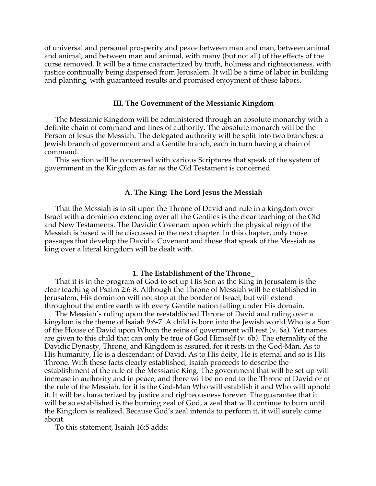of universal and personal prosperity and peace between man and man, between animal and animal, and between man and animal, with many (but not all) of the effects of the curse removed. It will be a time characterized by truth, holiness and righteousness, with justice continually being dispersed from Jerusalem. It will be a time of labor in building and planting, with guaranteed results and promised enjoyment of these labors.

#### **III. The Government of the Messianic Kingdom**

The Messianic Kingdom will be administered through an absolute monarchy with a definite chain of command and lines of authority. The absolute monarch will be the Person of Jesus the Messiah. The delegated authority will be split into two branches: a Jewish branch of government and a Gentile branch, each in turn having a chain of command.

This section will be concerned with various Scriptures that speak of the system of government in the Kingdom as far as the Old Testament is concerned.

# **A. The King: The Lord Jesus the Messiah**

That the Messiah is to sit upon the Throne of David and rule in a kingdom over Israel with a dominion extending over all the Gentiles is the clear teaching of the Old and New Testaments. The Davidic Covenant upon which the physical reign of the Messiah is based will be discussed in the next chapter. In this chapter, only those passages that develop the Davidic Covenant and those that speak of the Messiah as king over a literal kingdom will be dealt with.

#### **1. The Establishment of the Throne\_**

That it is in the program of God to set up His Son as the King in Jerusalem is the clear teaching of Psalm 2:6-8. Although the Throne of Messiah will be established in Jerusalem, His dominion will not stop at the border of Israel, but will extend throughout the entire earth with every Gentile nation falling under His domain.

The Messiah's ruling upon the reestablished Throne of David and ruling over a kingdom is the theme of Isaiah 9:6-7. A child is born into the Jewish world Who is a Son of the House of David upon Whom the reins of government will rest (v. 6a). Yet names are given to this child that can only be true of God Himself (v. 6b). The eternality of the Davidic Dynasty, Throne, and Kingdom is assured, for it rests in the God-Man. As to His humanity, He is a descendant of David. As to His deity, He is eternal and so is His Throne. With these facts clearly established, Isaiah proceeds to describe the establishment of the rule of the Messianic King. The government that will be set up will increase in authority and in peace, and there will be no end to the Throne of David or of the rule of the Messiah, for it is the God-Man Who will establish it and Who will uphold it. It will be characterized by justice and righteousness forever. The guarantee that it will be so established is the burning zeal of God, a zeal that will continue to burn until the Kingdom is realized. Because God's zeal intends to perform it, it will surely come about.

To this statement, Isaiah 16:5 adds: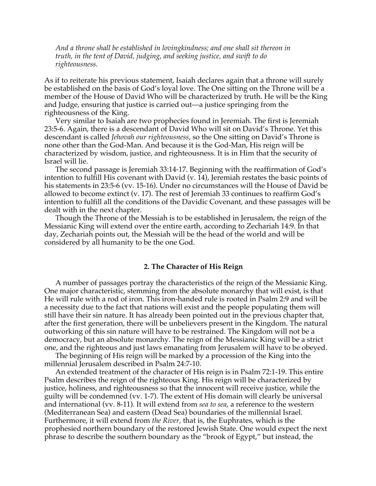*And a throne shall be established in lovingkindness; and one shall sit thereon in truth, in the tent of David, judging, and seeking justice, and swift to do righteousness.*

As if to reiterate his previous statement, Isaiah declares again that a throne will surely be established on the basis of God's loyal love. The One sitting on the Throne will be a member of the House of David Who will be characterized by truth. He will be the King and Judge, ensuring that justice is carried out—a justice springing from the righteousness of the King.

Very similar to Isaiah are two prophecies found in Jeremiah. The first is Jeremiah 23:5-6. Again, there is a descendant of David Who will sit on David's Throne. Yet this descendant is called *Jehovah our righteousness*, so the One sitting on David's Throne is none other than the God-Man. And because it is the God-Man, His reign will be characterized by wisdom, justice, and righteousness. It is in Him that the security of Israel will lie.

The second passage is Jeremiah 33:14-17. Beginning with the reaffirmation of God's intention to fulfill His covenant with David (v. 14), Jeremiah restates the basic points of his statements in 23:5-6 (vv. 15-16). Under no circumstances will the House of David be allowed to become extinct (v. 17). The rest of Jeremiah 33 continues to reaffirm God's intention to fulfill all the conditions of the Davidic Covenant, and these passages will be dealt with in the next chapter.

Though the Throne of the Messiah is to be established in Jerusalem, the reign of the Messianic King will extend over the entire earth, according to Zechariah 14:9. In that day, Zechariah points out, the Messiah will be the head of the world and will be considered by all humanity to be the one God.

# **2. The Character of His Reign**

A number of passages portray the characteristics of the reign of the Messianic King. One major characteristic, stemming from the absolute monarchy that will exist, is that He will rule with a rod of iron. This iron-handed rule is rooted in Psalm 2:9 and will be a necessity due to the fact that nations will exist and the people populating them will still have their sin nature. It has already been pointed out in the previous chapter that, after the first generation, there will be unbelievers present in the Kingdom. The natural outworking of this sin nature will have to be restrained. The Kingdom will not be a democracy, but an absolute monarchy. The reign of the Messianic King will be a strict one, and the righteous and just laws emanating from Jerusalem will have to be obeyed.

The beginning of His reign will be marked by a procession of the King into the millennial Jerusalem described in Psalm 24:7-10.

An extended treatment of the character of His reign is in Psalm 72:1-19. This entire Psalm describes the reign of the righteous King. His reign will be characterized by justice, holiness, and righteousness so that the innocent will receive justice, while the guilty will be condemned (vv. 1-7). The extent of His domain will clearly be universal and international (vv. 8-11). It will extend from *sea to sea*, a reference to the western (Mediterranean Sea) and eastern (Dead Sea) boundaries of the millennial Israel. Furthermore, it will extend from *the River*, that is, the Euphrates, which is the prophesied northern boundary of the restored Jewish State. One would expect the next phrase to describe the southern boundary as the "brook of Egypt," but instead, the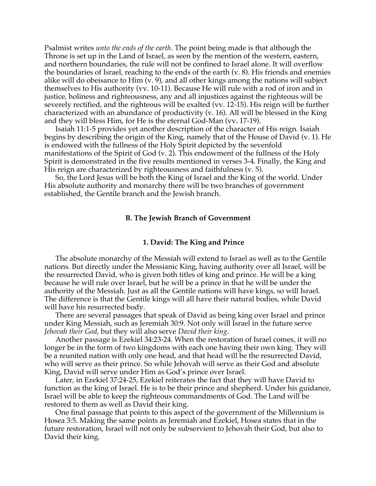Psalmist writes *unto the ends of the earth*. The point being made is that although the Throne is set up in the Land of Israel, as seen by the mention of the western, eastern, and northern boundaries, the rule will not be confined to Israel alone. It will overflow the boundaries of Israel, reaching to the ends of the earth (v. 8). His friends and enemies alike will do obeisance to Him (v. 9), and all other kings among the nations will subject themselves to His authority (vv. 10-11). Because He will rule with a rod of iron and in justice, holiness and righteousness, any and all injustices against the righteous will be severely rectified, and the righteous will be exalted (vv. 12-15). His reign will be further characterized with an abundance of productivity (v. 16). All will be blessed in the King and they will bless Him, for He is the eternal God-Man (vv. 17-19).

Isaiah 11:1-5 provides yet another description of the character of His reign. Isaiah begins by describing the origin of the King, namely that of the House of David (v. 1). He is endowed with the fullness of the Holy Spirit depicted by the sevenfold manifestations of the Spirit of God (v. 2). This endowment of the fullness of the Holy Spirit is demonstrated in the five results mentioned in verses 3-4. Finally, the King and His reign are characterized by righteousness and faithfulness (v. 5).

So, the Lord Jesus will be both the King of Israel and the King of the world. Under His absolute authority and monarchy there will be two branches of government established, the Gentile branch and the Jewish branch.

### **B. The Jewish Branch of Government**

### **1. David: The King and Prince**

The absolute monarchy of the Messiah will extend to Israel as well as to the Gentile nations. But directly under the Messianic King, having authority over all Israel, will be the resurrected David, who is given both titles of king and prince. He will be a king because he will rule over Israel, but he will be a prince in that he will be under the authority of the Messiah. Just as all the Gentile nations will have kings, so will Israel. The difference is that the Gentile kings will all have their natural bodies, while David will have his resurrected body.

There are several passages that speak of David as being king over Israel and prince under King Messiah, such as Jeremiah 30:9. Not only will Israel in the future serve *Jehovah their God*, but they will also serve *David their king*.

Another passage is Ezekiel 34:23-24. When the restoration of Israel comes, it will no longer be in the form of two kingdoms with each one having their own king. They will be a reunited nation with only one head, and that head will be the resurrected David, who will serve as their prince. So while Jehovah will serve as their God and absolute King, David will serve under Him as God's prince over Israel.

Later, in Ezekiel 37:24-25, Ezekiel reiterates the fact that they will have David to function as the king of Israel. He is to be their prince and shepherd. Under his guidance, Israel will be able to keep the righteous commandments of God. The Land will be restored to them as well as David their king.

One final passage that points to this aspect of the government of the Millennium is Hosea 3:5. Making the same points as Jeremiah and Ezekiel, Hosea states that in the future restoration, Israel will not only be subservient to Jehovah their God, but also to David their king.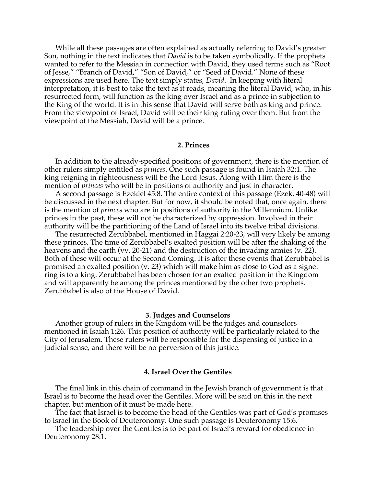While all these passages are often explained as actually referring to David's greater Son, nothing in the text indicates that *David* is to be taken symbolically. If the prophets wanted to refer to the Messiah in connection with David, they used terms such as "Root of Jesse," "Branch of David," "Son of David," or "Seed of David." None of these expressions are used here. The text simply states, *David*. In keeping with literal interpretation, it is best to take the text as it reads, meaning the literal David, who, in his resurrected form, will function as the king over Israel and as a prince in subjection to the King of the world. It is in this sense that David will serve both as king and prince. From the viewpoint of Israel, David will be their king ruling over them. But from the viewpoint of the Messiah, David will be a prince.

### **2. Princes**

In addition to the already-specified positions of government, there is the mention of other rulers simply entitled as *princes*. One such passage is found in Isaiah 32:1. The king reigning in righteousness will be the Lord Jesus. Along with Him there is the mention of *princes* who will be in positions of authority and just in character.

A second passage is Ezekiel 45:8. The entire context of this passage (Ezek. 40-48) will be discussed in the next chapter. But for now, it should be noted that, once again, there is the mention of *princes* who are in positions of authority in the Millennium. Unlike princes in the past, these will not be characterized by oppression. Involved in their authority will be the partitioning of the Land of Israel into its twelve tribal divisions.

The resurrected Zerubbabel, mentioned in Haggai 2:20-23, will very likely be among these princes. The time of Zerubbabel's exalted position will be after the shaking of the heavens and the earth (vv. 20-21) and the destruction of the invading armies (v. 22). Both of these will occur at the Second Coming. It is after these events that Zerubbabel is promised an exalted position (v. 23) which will make him as close to God as a signet ring is to a king. Zerubbabel has been chosen for an exalted position in the Kingdom and will apparently be among the princes mentioned by the other two prophets. Zerubbabel is also of the House of David.

#### **3. Judges and Counselors**

Another group of rulers in the Kingdom will be the judges and counselors mentioned in Isaiah 1:26. This position of authority will be particularly related to the City of Jerusalem. These rulers will be responsible for the dispensing of justice in a judicial sense, and there will be no perversion of this justice.

# **4. Israel Over the Gentiles**

The final link in this chain of command in the Jewish branch of government is that Israel is to become the head over the Gentiles. More will be said on this in the next chapter, but mention of it must be made here.

The fact that Israel is to become the head of the Gentiles was part of God's promises to Israel in the Book of Deuteronomy. One such passage is Deuteronomy 15:6.

The leadership over the Gentiles is to be part of Israel's reward for obedience in Deuteronomy 28:1.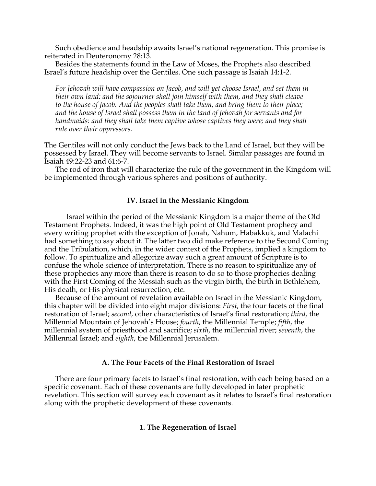Such obedience and headship awaits Israel's national regeneration. This promise is reiterated in Deuteronomy 28:13.

Besides the statements found in the Law of Moses, the Prophets also described Israel's future headship over the Gentiles. One such passage is Isaiah 14:1-2.

*For Jehovah will have compassion on Jacob, and will yet choose Israel, and set them in their own land: and the sojourner shall join himself with them, and they shall cleave to the house of Jacob. And the peoples shall take them, and bring them to their place; and the house of Israel shall possess them in the land of Jehovah for servants and for handmaids: and they shall take them captive whose captives they were; and they shall rule over their oppressors.*

The Gentiles will not only conduct the Jews back to the Land of Israel, but they will be possessed by Israel. They will become servants to Israel. Similar passages are found in Isaiah 49:22-23 and 61:6-7.

The rod of iron that will characterize the rule of the government in the Kingdom will be implemented through various spheres and positions of authority.

### **IV. Israel in the Messianic Kingdom**

Israel within the period of the Messianic Kingdom is a major theme of the Old Testament Prophets. Indeed, it was the high point of Old Testament prophecy and every writing prophet with the exception of Jonah, Nahum, Habakkuk, and Malachi had something to say about it. The latter two did make reference to the Second Coming and the Tribulation, which, in the wider context of the Prophets, implied a kingdom to follow. To spiritualize and allegorize away such a great amount of Scripture is to confuse the whole science of interpretation. There is no reason to spiritualize any of these prophecies any more than there is reason to do so to those prophecies dealing with the First Coming of the Messiah such as the virgin birth, the birth in Bethlehem, His death, or His physical resurrection, etc.

Because of the amount of revelation available on Israel in the Messianic Kingdom, this chapter will be divided into eight major divisions: *First*, the four facets of the final restoration of Israel; *second*, other characteristics of Israel's final restoration; *third*, the Millennial Mountain of Jehovah's House; *fourth*, the Millennial Temple; *fifth*, the millennial system of priesthood and sacrifice; *sixth*, the millennial river; *seventh*, the Millennial Israel; and *eighth*, the Millennial Jerusalem.

# **A. The Four Facets of the Final Restoration of Israel**

There are four primary facets to Israel's final restoration, with each being based on a specific covenant. Each of these covenants are fully developed in later prophetic revelation. This section will survey each covenant as it relates to Israel's final restoration along with the prophetic development of these covenants.

#### **1. The Regeneration of Israel**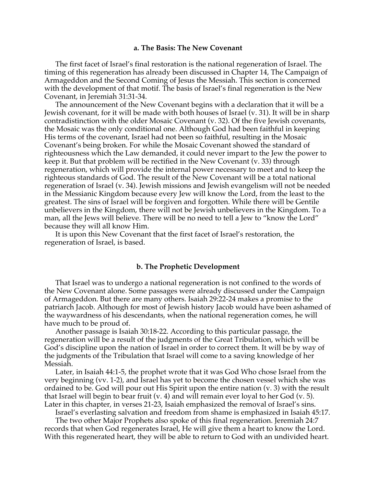### **a. The Basis: The New Covenant**

The first facet of Israel's final restoration is the national regeneration of Israel. The timing of this regeneration has already been discussed in Chapter 14, The Campaign of Armageddon and the Second Coming of Jesus the Messiah. This section is concerned with the development of that motif. The basis of Israel's final regeneration is the New Covenant, in Jeremiah 31:31-34.

The announcement of the New Covenant begins with a declaration that it will be a Jewish covenant, for it will be made with both houses of Israel (v. 31). It will be in sharp contradistinction with the older Mosaic Covenant (v. 32). Of the five Jewish covenants, the Mosaic was the only conditional one. Although God had been faithful in keeping His terms of the covenant, Israel had not been so faithful, resulting in the Mosaic Covenant's being broken. For while the Mosaic Covenant showed the standard of righteousness which the Law demanded, it could never impart to the Jew the power to keep it. But that problem will be rectified in the New Covenant (v. 33) through regeneration, which will provide the internal power necessary to meet and to keep the righteous standards of God. The result of the New Covenant will be a total national regeneration of Israel (v. 34). Jewish missions and Jewish evangelism will not be needed in the Messianic Kingdom because every Jew will know the Lord, from the least to the greatest. The sins of Israel will be forgiven and forgotten. While there will be Gentile unbelievers in the Kingdom, there will not be Jewish unbelievers in the Kingdom. To a man, all the Jews will believe. There will be no need to tell a Jew to "know the Lord" because they will all know Him.

It is upon this New Covenant that the first facet of Israel's restoration, the regeneration of Israel, is based.

# **b. The Prophetic Development**

That Israel was to undergo a national regeneration is not confined to the words of the New Covenant alone. Some passages were already discussed under the Campaign of Armageddon. But there are many others. Isaiah 29:22-24 makes a promise to the patriarch Jacob. Although for most of Jewish history Jacob would have been ashamed of the waywardness of his descendants, when the national regeneration comes, he will have much to be proud of.

Another passage is Isaiah 30:18-22. According to this particular passage, the regeneration will be a result of the judgments of the Great Tribulation, which will be God's discipline upon the nation of Israel in order to correct them. It will be by way of the judgments of the Tribulation that Israel will come to a saving knowledge of her Messiah.

Later, in Isaiah 44:1-5, the prophet wrote that it was God Who chose Israel from the very beginning (vv. 1-2), and Israel has yet to become the chosen vessel which she was ordained to be. God will pour out His Spirit upon the entire nation (v. 3) with the result that Israel will begin to bear fruit (v. 4) and will remain ever loyal to her God (v. 5). Later in this chapter, in verses 21-23, Isaiah emphasized the removal of Israel's sins.

Israel's everlasting salvation and freedom from shame is emphasized in Isaiah 45:17.

The two other Major Prophets also spoke of this final regeneration. Jeremiah 24:7 records that when God regenerates Israel, He will give them a heart to know the Lord. With this regenerated heart, they will be able to return to God with an undivided heart.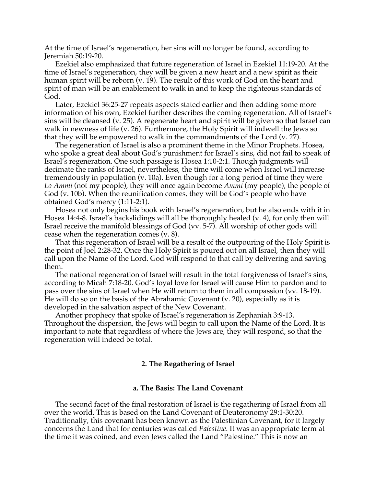At the time of Israel's regeneration, her sins will no longer be found, according to Jeremiah 50:19-20.

Ezekiel also emphasized that future regeneration of Israel in Ezekiel 11:19-20. At the time of Israel's regeneration, they will be given a new heart and a new spirit as their human spirit will be reborn (v. 19). The result of this work of God on the heart and spirit of man will be an enablement to walk in and to keep the righteous standards of God.

Later, Ezekiel 36:25-27 repeats aspects stated earlier and then adding some more information of his own, Ezekiel further describes the coming regeneration. All of Israel's sins will be cleansed (v. 25). A regenerate heart and spirit will be given so that Israel can walk in newness of life (v. 26). Furthermore, the Holy Spirit will indwell the Jews so that they will be empowered to walk in the commandments of the Lord (v. 27).

The regeneration of Israel is also a prominent theme in the Minor Prophets. Hosea, who spoke a great deal about God's punishment for Israel's sins, did not fail to speak of Israel's regeneration. One such passage is Hosea 1:10-2:1. Though judgments will decimate the ranks of Israel, nevertheless, the time will come when Israel will increase tremendously in population (v. 10a). Even though for a long period of time they were *Lo Ammi* (not my people), they will once again become *Ammi* (my people), the people of God (v. 10b). When the reunification comes, they will be God's people who have obtained God's mercy (1:11-2:1).

Hosea not only begins his book with Israel's regeneration, but he also ends with it in Hosea 14:4-8. Israel's backslidings will all be thoroughly healed (v. 4), for only then will Israel receive the manifold blessings of God (vv. 5-7). All worship of other gods will cease when the regeneration comes (v. 8).

That this regeneration of Israel will be a result of the outpouring of the Holy Spirit is the point of Joel 2:28-32. Once the Holy Spirit is poured out on all Israel, then they will call upon the Name of the Lord. God will respond to that call by delivering and saving them.

The national regeneration of Israel will result in the total forgiveness of Israel's sins, according to Micah 7:18-20. God's loyal love for Israel will cause Him to pardon and to pass over the sins of Israel when He will return to them in all compassion (vv. 18-19). He will do so on the basis of the Abrahamic Covenant (v. 20), especially as it is developed in the salvation aspect of the New Covenant.

Another prophecy that spoke of Israel's regeneration is Zephaniah 3:9-13. Throughout the dispersion, the Jews will begin to call upon the Name of the Lord. It is important to note that regardless of where the Jews are, they will respond, so that the regeneration will indeed be total.

# **2. The Regathering of Israel**

#### **a. The Basis: The Land Covenant**

The second facet of the final restoration of Israel is the regathering of Israel from all over the world. This is based on the Land Covenant of Deuteronomy 29:1-30:20. Traditionally, this covenant has been known as the Palestinian Covenant, for it largely concerns the Land that for centuries was called *Palestine*. It was an appropriate term at the time it was coined, and even Jews called the Land "Palestine." This is now an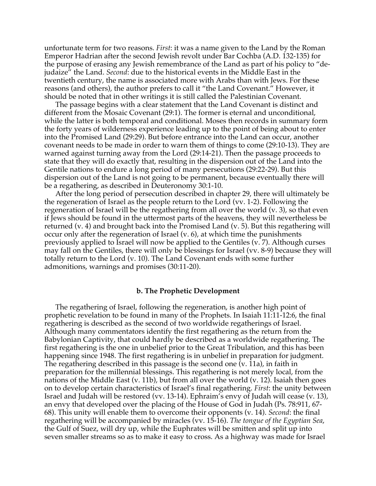unfortunate term for two reasons. *First*: it was a name given to the Land by the Roman Emperor Hadrian after the second Jewish revolt under Bar Cochba (A.D. 132-135) for the purpose of erasing any Jewish remembrance of the Land as part of his policy to "dejudaize" the Land. *Second*: due to the historical events in the Middle East in the twentieth century, the name is associated more with Arabs than with Jews. For these reasons (and others), the author prefers to call it "the Land Covenant." However, it should be noted that in other writings it is still called the Palestinian Covenant.

The passage begins with a clear statement that the Land Covenant is distinct and different from the Mosaic Covenant (29:1). The former is eternal and unconditional, while the latter is both temporal and conditional. Moses then records in summary form the forty years of wilderness experience leading up to the point of being about to enter into the Promised Land (29:29). But before entrance into the Land can occur, another covenant needs to be made in order to warn them of things to come (29:10-13). They are warned against turning away from the Lord (29:14-21). Then the passage proceeds to state that they will do exactly that, resulting in the dispersion out of the Land into the Gentile nations to endure a long period of many persecutions (29:22-29). But this dispersion out of the Land is not going to be permanent, because eventually there will be a regathering, as described in Deuteronomy 30:1-10.

After the long period of persecution described in chapter 29, there will ultimately be the regeneration of Israel as the people return to the Lord (vv. 1-2). Following the regeneration of Israel will be the regathering from all over the world (v. 3), so that even if Jews should be found in the uttermost parts of the heavens, they will nevertheless be returned (v. 4) and brought back into the Promised Land (v. 5). But this regathering will occur only after the regeneration of Israel (v. 6), at which time the punishments previously applied to Israel will now be applied to the Gentiles (v. 7). Although curses may fall on the Gentiles, there will only be blessings for Israel (vv. 8-9) because they will totally return to the Lord (v. 10). The Land Covenant ends with some further admonitions, warnings and promises (30:11-20).

### **b. The Prophetic Development**

The regathering of Israel, following the regeneration, is another high point of prophetic revelation to be found in many of the Prophets. In Isaiah 11:11-12:6, the final regathering is described as the second of two worldwide regatherings of Israel. Although many commentators identify the first regathering as the return from the Babylonian Captivity, that could hardly be described as a worldwide regathering. The first regathering is the one in unbelief prior to the Great Tribulation, and this has been happening since 1948. The first regathering is in unbelief in preparation for judgment. The regathering described in this passage is the second one (v. 11a), in faith in preparation for the millennial blessings. This regathering is not merely local, from the nations of the Middle East (v. 11b), but from all over the world (v. 12). Isaiah then goes on to develop certain characteristics of Israel's final regathering. *First*: the unity between Israel and Judah will be restored (vv. 13-14). Ephraim's envy of Judah will cease (v. 13), an envy that developed over the placing of the House of God in Judah (Ps. 78:911, 67- 68). This unity will enable them to overcome their opponents (v. 14). *Second*: the final regathering will be accompanied by miracles (vv. 15-16). *The tongue of the Egyptian Sea*, the Gulf of Suez, will dry up, while the Euphrates will be smitten and split up into seven smaller streams so as to make it easy to cross. As a highway was made for Israel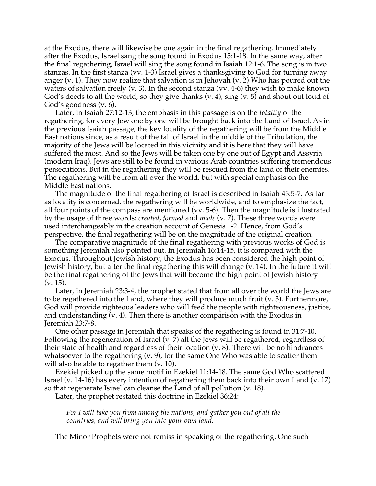at the Exodus, there will likewise be one again in the final regathering. Immediately after the Exodus, Israel sang the song found in Exodus 15:1-18. In the same way, after the final regathering, Israel will sing the song found in Isaiah 12:1-6. The song is in two stanzas. In the first stanza (vv. 1-3) Israel gives a thanksgiving to God for turning away anger (v. 1). They now realize that salvation is in Jehovah (v. 2) Who has poured out the waters of salvation freely (v. 3). In the second stanza (vv. 4-6) they wish to make known God's deeds to all the world, so they give thanks (v. 4), sing (v. 5) and shout out loud of God's goodness (v. 6).

Later, in Isaiah 27:12-13, the emphasis in this passage is on the *totality* of the regathering, for every Jew one by one will be brought back into the Land of Israel. As in the previous Isaiah passage, the key locality of the regathering will be from the Middle East nations since, as a result of the fall of Israel in the middle of the Tribulation, the majority of the Jews will be located in this vicinity and it is here that they will have suffered the most. And so the Jews will be taken one by one out of Egypt and Assyria (modern Iraq). Jews are still to be found in various Arab countries suffering tremendous persecutions. But in the regathering they will be rescued from the land of their enemies. The regathering will be from all over the world, but with special emphasis on the Middle East nations.

The magnitude of the final regathering of Israel is described in Isaiah 43:5-7. As far as locality is concerned, the regathering will be worldwide, and to emphasize the fact, all four points of the compass are mentioned (vv. 5-6). Then the magnitude is illustrated by the usage of three words: *created*, *formed* and *made* (v. 7). These three words were used interchangeably in the creation account of Genesis 1-2. Hence, from God's perspective, the final regathering will be on the magnitude of the original creation.

The comparative magnitude of the final regathering with previous works of God is something Jeremiah also pointed out. In Jeremiah 16:14-15, it is compared with the Exodus. Throughout Jewish history, the Exodus has been considered the high point of Jewish history, but after the final regathering this will change (v. 14). In the future it will be the final regathering of the Jews that will become the high point of Jewish history (v. 15).

Later, in Jeremiah 23:3-4, the prophet stated that from all over the world the Jews are to be regathered into the Land, where they will produce much fruit (v. 3). Furthermore, God will provide righteous leaders who will feed the people with righteousness, justice, and understanding (v. 4). Then there is another comparison with the Exodus in Jeremiah 23:7-8.

One other passage in Jeremiah that speaks of the regathering is found in 31:7-10. Following the regeneration of Israel (v. 7) all the Jews will be regathered, regardless of their state of health and regardless of their location (v. 8). There will be no hindrances whatsoever to the regathering (v. 9), for the same One Who was able to scatter them will also be able to regather them  $(v. 10)$ .

Ezekiel picked up the same motif in Ezekiel 11:14-18. The same God Who scattered Israel (v. 14-16) has every intention of regathering them back into their own Land (v. 17) so that regenerate Israel can cleanse the Land of all pollution (v. 18).

Later, the prophet restated this doctrine in Ezekiel 36:24:

*For I will take you from among the nations, and gather you out of all the countries, and will bring you into your own land.*

The Minor Prophets were not remiss in speaking of the regathering. One such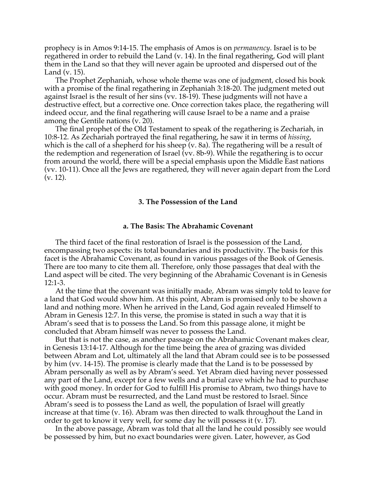prophecy is in Amos 9:14-15. The emphasis of Amos is on *permanency*. Israel is to be regathered in order to rebuild the Land (v. 14). In the final regathering, God will plant them in the Land so that they will never again be uprooted and dispersed out of the Land (v. 15).

The Prophet Zephaniah, whose whole theme was one of judgment, closed his book with a promise of the final regathering in Zephaniah 3:18-20. The judgment meted out against Israel is the result of her sins (vv. 18-19). These judgments will not have a destructive effect, but a corrective one. Once correction takes place, the regathering will indeed occur, and the final regathering will cause Israel to be a name and a praise among the Gentile nations (v. 20).

The final prophet of the Old Testament to speak of the regathering is Zechariah, in 10:8-12. As Zechariah portrayed the final regathering, he saw it in terms of *hissing*, which is the call of a shepherd for his sheep (v. 8a). The regathering will be a result of the redemption and regeneration of Israel (vv. 8b-9). While the regathering is to occur from around the world, there will be a special emphasis upon the Middle East nations (vv. 10-11). Once all the Jews are regathered, they will never again depart from the Lord (v. 12).

# **3. The Possession of the Land**

# **a. The Basis: The Abrahamic Covenant**

The third facet of the final restoration of Israel is the possession of the Land, encompassing two aspects: its total boundaries and its productivity. The basis for this facet is the Abrahamic Covenant, as found in various passages of the Book of Genesis. There are too many to cite them all. Therefore, only those passages that deal with the Land aspect will be cited. The very beginning of the Abrahamic Covenant is in Genesis 12:1-3.

At the time that the covenant was initially made, Abram was simply told to leave for a land that God would show him. At this point, Abram is promised only to be shown a land and nothing more. When he arrived in the Land, God again revealed Himself to Abram in Genesis 12:7. In this verse, the promise is stated in such a way that it is Abram's seed that is to possess the Land. So from this passage alone, it might be concluded that Abram himself was never to possess the Land.

But that is not the case, as another passage on the Abrahamic Covenant makes clear, in Genesis 13:14-17. Although for the time being the area of grazing was divided between Abram and Lot, ultimately all the land that Abram could see is to be possessed by him (vv. 14-15). The promise is clearly made that the Land is to be possessed by Abram personally as well as by Abram's seed. Yet Abram died having never possessed any part of the Land, except for a few wells and a burial cave which he had to purchase with good money. In order for God to fulfill His promise to Abram, two things have to occur. Abram must be resurrected, and the Land must be restored to Israel. Since Abram's seed is to possess the Land as well, the population of Israel will greatly increase at that time (v. 16). Abram was then directed to walk throughout the Land in order to get to know it very well, for some day he will possess it (v. 17).

In the above passage, Abram was told that all the land he could possibly see would be possessed by him, but no exact boundaries were given. Later, however, as God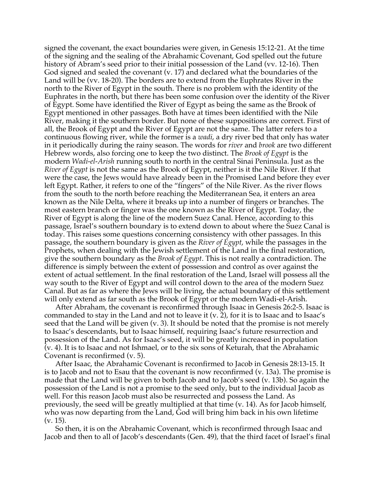signed the covenant, the exact boundaries were given, in Genesis 15:12-21. At the time of the signing and the sealing of the Abrahamic Covenant, God spelled out the future history of Abram's seed prior to their initial possession of the Land (vv. 12-16). Then God signed and sealed the covenant (v. 17) and declared what the boundaries of the Land will be (vv. 18-20). The borders are to extend from the Euphrates River in the north to the River of Egypt in the south. There is no problem with the identity of the Euphrates in the north, but there has been some confusion over the identity of the River of Egypt. Some have identified the River of Egypt as being the same as the Brook of Egypt mentioned in other passages. Both have at times been identified with the Nile River, making it the southern border. But none of these suppositions are correct. First of all, the Brook of Egypt and the River of Egypt are not the same. The latter refers to a continuous flowing river, while the former is a *wadi*, a dry river bed that only has water in it periodically during the rainy season. The words for *river* and *brook* are two different Hebrew words, also forcing one to keep the two distinct. The *Brook of Egypt* is the modern *Wadi-el-Arish* running south to north in the central Sinai Peninsula. Just as the *River of Egypt* is not the same as the Brook of Egypt, neither is it the Nile River. If that were the case, the Jews would have already been in the Promised Land before they ever left Egypt. Rather, it refers to one of the "fingers" of the Nile River. As the river flows from the south to the north before reaching the Mediterranean Sea, it enters an area known as the Nile Delta, where it breaks up into a number of fingers or branches. The most eastern branch or finger was the one known as the River of Egypt. Today, the River of Egypt is along the line of the modern Suez Canal. Hence, according to this passage, Israel's southern boundary is to extend down to about where the Suez Canal is today. This raises some questions concerning consistency with other passages. In this passage, the southern boundary is given as the *River of Egypt*, while the passages in the Prophets, when dealing with the Jewish settlement of the Land in the final restoration, give the southern boundary as the *Brook of Egypt*. This is not really a contradiction. The difference is simply between the extent of possession and control as over against the extent of actual settlement. In the final restoration of the Land, Israel will possess all the way south to the River of Egypt and will control down to the area of the modern Suez Canal. But as far as where the Jews will be living, the actual boundary of this settlement will only extend as far south as the Brook of Egypt or the modern Wadi-el-Arish.

After Abraham, the covenant is reconfirmed through Isaac in Genesis 26:2-5. Isaac is commanded to stay in the Land and not to leave it (v. 2), for it is to Isaac and to Isaac's seed that the Land will be given  $(v, 3)$ . It should be noted that the promise is not merely to Isaac's descendants, but to Isaac himself, requiring Isaac's future resurrection and possession of the Land. As for Isaac's seed, it will be greatly increased in population (v. 4). It is to Isaac and not Ishmael, or to the six sons of Keturah, that the Abrahamic Covenant is reconfirmed (v. 5).

After Isaac, the Abrahamic Covenant is reconfirmed to Jacob in Genesis 28:13-15. It is to Jacob and not to Esau that the covenant is now reconfirmed (v. 13a). The promise is made that the Land will be given to both Jacob and to Jacob's seed (v. 13b). So again the possession of the Land is not a promise to the seed only, but to the individual Jacob as well. For this reason Jacob must also be resurrected and possess the Land. As previously, the seed will be greatly multiplied at that time (v. 14). As for Jacob himself, who was now departing from the Land, God will bring him back in his own lifetime (v. 15).

So then, it is on the Abrahamic Covenant, which is reconfirmed through Isaac and Jacob and then to all of Jacob's descendants (Gen. 49), that the third facet of Israel's final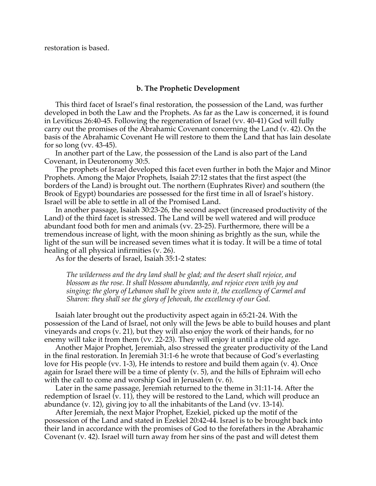restoration is based.

# **b. The Prophetic Development**

This third facet of Israel's final restoration, the possession of the Land, was further developed in both the Law and the Prophets. As far as the Law is concerned, it is found in Leviticus 26:40-45. Following the regeneration of Israel (vv. 40-41) God will fully carry out the promises of the Abrahamic Covenant concerning the Land (v. 42). On the basis of the Abrahamic Covenant He will restore to them the Land that has lain desolate for so long (vv. 43-45).

In another part of the Law, the possession of the Land is also part of the Land Covenant, in Deuteronomy 30:5.

The prophets of Israel developed this facet even further in both the Major and Minor Prophets. Among the Major Prophets, Isaiah 27:12 states that the first aspect (the borders of the Land) is brought out. The northern (Euphrates River) and southern (the Brook of Egypt) boundaries are possessed for the first time in all of Israel's history. Israel will be able to settle in all of the Promised Land.

In another passage, Isaiah 30:23-26, the second aspect (increased productivity of the Land) of the third facet is stressed. The Land will be well watered and will produce abundant food both for men and animals (vv. 23-25). Furthermore, there will be a tremendous increase of light, with the moon shining as brightly as the sun, while the light of the sun will be increased seven times what it is today. It will be a time of total healing of all physical infirmities (v. 26).

As for the deserts of Israel, Isaiah 35:1-2 states:

*The wilderness and the dry land shall be glad; and the desert shall rejoice, and blossom as the rose. It shall blossom abundantly, and rejoice even with joy and singing; the glory of Lebanon shall be given unto it, the excellency of Carmel and Sharon: they shall see the glory of Jehovah, the excellency of our God.*

Isaiah later brought out the productivity aspect again in 65:21-24. With the possession of the Land of Israel, not only will the Jews be able to build houses and plant vineyards and crops (v. 21), but they will also enjoy the work of their hands, for no enemy will take it from them (vv. 22-23). They will enjoy it until a ripe old age.

Another Major Prophet, Jeremiah, also stressed the greater productivity of the Land in the final restoration. In Jeremiah 31:1-6 he wrote that because of God's everlasting love for His people (vv. 1-3), He intends to restore and build them again (v. 4). Once again for Israel there will be a time of plenty (v. 5), and the hills of Ephraim will echo with the call to come and worship God in Jerusalem (v. 6).

Later in the same passage, Jeremiah returned to the theme in 31:11-14. After the redemption of Israel (v. 11), they will be restored to the Land, which will produce an abundance (v. 12), giving joy to all the inhabitants of the Land (vv. 13-14).

After Jeremiah, the next Major Prophet, Ezekiel, picked up the motif of the possession of the Land and stated in Ezekiel 20:42-44. Israel is to be brought back into their land in accordance with the promises of God to the forefathers in the Abrahamic Covenant (v. 42). Israel will turn away from her sins of the past and will detest them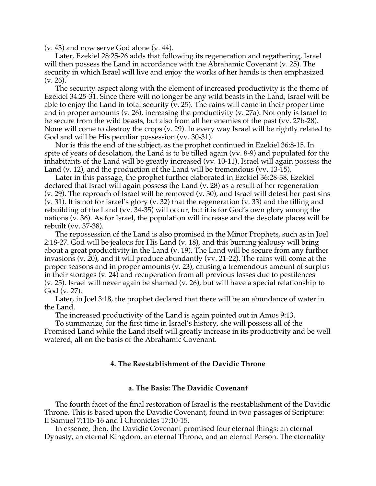(v. 43) and now serve God alone (v. 44).

Later, Ezekiel 28:25-26 adds that following its regeneration and regathering, Israel will then possess the Land in accordance with the Abrahamic Covenant (v. 25). The security in which Israel will live and enjoy the works of her hands is then emphasized (v. 26).

The security aspect along with the element of increased productivity is the theme of Ezekiel 34:25-31. Since there will no longer be any wild beasts in the Land, Israel will be able to enjoy the Land in total security (v. 25). The rains will come in their proper time and in proper amounts (v. 26), increasing the productivity (v. 27a). Not only is Israel to be secure from the wild beasts, but also from all her enemies of the past (vv. 27b-28). None will come to destroy the crops (v. 29). In every way Israel will be rightly related to God and will be His peculiar possession (vv. 30-31).

Nor is this the end of the subject, as the prophet continued in Ezekiel 36:8-15. In spite of years of desolation, the Land is to be tilled again (vv. 8-9) and populated for the inhabitants of the Land will be greatly increased (vv. 10-11). Israel will again possess the Land (v. 12), and the production of the Land will be tremendous (vv. 13-15).

Later in this passage, the prophet further elaborated in Ezekiel 36:28-38. Ezekiel declared that Israel will again possess the Land (v. 28) as a result of her regeneration (v. 29). The reproach of Israel will be removed (v. 30), and Israel will detest her past sins (v. 31). It is not for Israel's glory (v. 32) that the regeneration (v. 33) and the tilling and rebuilding of the Land (vv. 34-35) will occur, but it is for God's own glory among the nations (v. 36). As for Israel, the population will increase and the desolate places will be rebuilt (vv. 37-38).

The repossession of the Land is also promised in the Minor Prophets, such as in Joel 2:18-27. God will be jealous for His Land (v. 18), and this burning jealousy will bring about a great productivity in the Land  $(v. 19)$ . The Land will be secure from any further invasions (v. 20), and it will produce abundantly (vv. 21-22). The rains will come at the proper seasons and in proper amounts (v. 23), causing a tremendous amount of surplus in their storages (v. 24) and recuperation from all previous losses due to pestilences (v. 25). Israel will never again be shamed (v. 26), but will have a special relationship to God (v. 27).

Later, in Joel 3:18, the prophet declared that there will be an abundance of water in the Land.

The increased productivity of the Land is again pointed out in Amos 9:13.

To summarize, for the first time in Israel's history, she will possess all of the Promised Land while the Land itself will greatly increase in its productivity and be well watered, all on the basis of the Abrahamic Covenant.

# **4. The Reestablishment of the Davidic Throne**

# **a. The Basis: The Davidic Covenant**

The fourth facet of the final restoration of Israel is the reestablishment of the Davidic Throne. This is based upon the Davidic Covenant, found in two passages of Scripture: II Samuel 7:11b-16 and I Chronicles 17:10-15.

In essence, then, the Davidic Covenant promised four eternal things: an eternal Dynasty, an eternal Kingdom, an eternal Throne, and an eternal Person. The eternality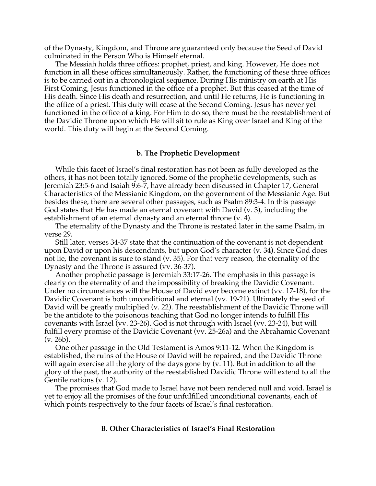of the Dynasty, Kingdom, and Throne are guaranteed only because the Seed of David culminated in the Person Who is Himself eternal.

The Messiah holds three offices: prophet, priest, and king. However, He does not function in all these offices simultaneously. Rather, the functioning of these three offices is to be carried out in a chronological sequence. During His ministry on earth at His First Coming, Jesus functioned in the office of a prophet. But this ceased at the time of His death. Since His death and resurrection, and until He returns, He is functioning in the office of a priest. This duty will cease at the Second Coming. Jesus has never yet functioned in the office of a king. For Him to do so, there must be the reestablishment of the Davidic Throne upon which He will sit to rule as King over Israel and King of the world. This duty will begin at the Second Coming.

# **b. The Prophetic Development**

While this facet of Israel's final restoration has not been as fully developed as the others, it has not been totally ignored. Some of the prophetic developments, such as Jeremiah 23:5-6 and Isaiah 9:6-7, have already been discussed in Chapter 17, General Characteristics of the Messianic Kingdom, on the government of the Messianic Age. But besides these, there are several other passages, such as Psalm 89:3-4. In this passage God states that He has made an eternal covenant with David (v. 3), including the establishment of an eternal dynasty and an eternal throne (v. 4).

The eternality of the Dynasty and the Throne is restated later in the same Psalm, in verse 29.

Still later, verses 34-37 state that the continuation of the covenant is not dependent upon David or upon his descendants, but upon God's character (v. 34). Since God does not lie, the covenant is sure to stand (v. 35). For that very reason, the eternality of the Dynasty and the Throne is assured (vv. 36-37).

Another prophetic passage is Jeremiah 33:17-26. The emphasis in this passage is clearly on the eternality of and the impossibility of breaking the Davidic Covenant. Under no circumstances will the House of David ever become extinct (vv. 17-18), for the Davidic Covenant is both unconditional and eternal (vv. 19-21). Ultimately the seed of David will be greatly multiplied (v. 22). The reestablishment of the Davidic Throne will be the antidote to the poisonous teaching that God no longer intends to fulfill His covenants with Israel (vv. 23-26). God is not through with Israel (vv. 23-24), but will fulfill every promise of the Davidic Covenant (vv. 25-26a) and the Abrahamic Covenant (v. 26b).

One other passage in the Old Testament is Amos 9:11-12. When the Kingdom is established, the ruins of the House of David will be repaired, and the Davidic Throne will again exercise all the glory of the days gone by (v. 11). But in addition to all the glory of the past, the authority of the reestablished Davidic Throne will extend to all the Gentile nations (v. 12).

The promises that God made to Israel have not been rendered null and void. Israel is yet to enjoy all the promises of the four unfulfilled unconditional covenants, each of which points respectively to the four facets of Israel's final restoration.

# **B. Other Characteristics of Israel's Final Restoration**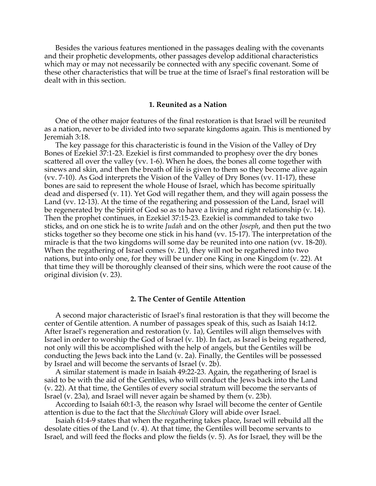Besides the various features mentioned in the passages dealing with the covenants and their prophetic developments, other passages develop additional characteristics which may or may not necessarily be connected with any specific covenant. Some of these other characteristics that will be true at the time of Israel's final restoration will be dealt with in this section.

# **1. Reunited as a Nation**

One of the other major features of the final restoration is that Israel will be reunited as a nation, never to be divided into two separate kingdoms again. This is mentioned by Jeremiah 3:18.

The key passage for this characteristic is found in the Vision of the Valley of Dry Bones of Ezekiel 37:1-23. Ezekiel is first commanded to prophesy over the dry bones scattered all over the valley (vv. 1-6). When he does, the bones all come together with sinews and skin, and then the breath of life is given to them so they become alive again (vv. 7-10). As God interprets the Vision of the Valley of Dry Bones (vv. 11-17), these bones are said to represent the whole House of Israel, which has become spiritually dead and dispersed (v. 11). Yet God will regather them, and they will again possess the Land (vv. 12-13). At the time of the regathering and possession of the Land, Israel will be regenerated by the Spirit of God so as to have a living and right relationship (v. 14). Then the prophet continues, in Ezekiel 37:15-23. Ezekiel is commanded to take two sticks, and on one stick he is to write *Judah* and on the other *Joseph*, and then put the two sticks together so they become one stick in his hand (vv. 15-17). The interpretation of the miracle is that the two kingdoms will some day be reunited into one nation (vv. 18-20). When the regathering of Israel comes (v. 21), they will not be regathered into two nations, but into only one, for they will be under one King in one Kingdom (v. 22). At that time they will be thoroughly cleansed of their sins, which were the root cause of the original division (v. 23).

### **2. The Center of Gentile Attention**

A second major characteristic of Israel's final restoration is that they will become the center of Gentile attention. A number of passages speak of this, such as Isaiah 14:12. After Israel's regeneration and restoration  $(v, I_a)$ , Gentiles will align themselves with Israel in order to worship the God of Israel (v. 1b). In fact, as Israel is being regathered, not only will this be accomplished with the help of angels, but the Gentiles will be conducting the Jews back into the Land (v. 2a). Finally, the Gentiles will be possessed by Israel and will become the servants of Israel (v. 2b).

A similar statement is made in Isaiah 49:22-23. Again, the regathering of Israel is said to be with the aid of the Gentiles, who will conduct the Jews back into the Land (v. 22). At that time, the Gentiles of every social stratum will become the servants of Israel (v. 23a), and Israel will never again be shamed by them (v. 23b).

According to Isaiah 60:1-3, the reason why Israel will become the center of Gentile attention is due to the fact that the *Shechinah* Glory will abide over Israel.

Isaiah 61:4-9 states that when the regathering takes place, Israel will rebuild all the desolate cities of the Land (v. 4). At that time, the Gentiles will become servants to Israel, and will feed the flocks and plow the fields (v. 5). As for Israel, they will be the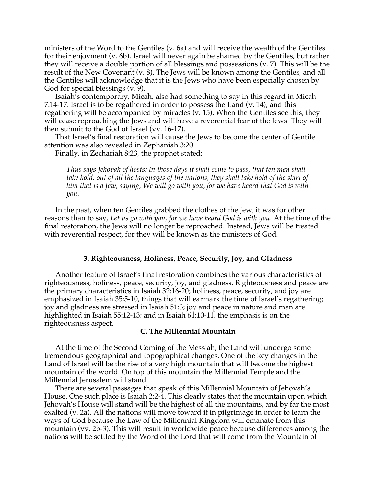ministers of the Word to the Gentiles (v. 6a) and will receive the wealth of the Gentiles for their enjoyment (v. 6b). Israel will never again be shamed by the Gentiles, but rather they will receive a double portion of all blessings and possessions (v. 7). This will be the result of the New Covenant (v. 8). The Jews will be known among the Gentiles, and all the Gentiles will acknowledge that it is the Jews who have been especially chosen by God for special blessings (v. 9).

Isaiah's contemporary, Micah, also had something to say in this regard in Micah 7:14-17. Israel is to be regathered in order to possess the Land (v. 14), and this regathering will be accompanied by miracles (v. 15). When the Gentiles see this, they will cease reproaching the Jews and will have a reverential fear of the Jews. They will then submit to the God of Israel (vv. 16-17).

That Israel's final restoration will cause the Jews to become the center of Gentile attention was also revealed in Zephaniah 3:20.

Finally, in Zechariah 8:23, the prophet stated:

*Thus says Jehovah of hosts: In those days it shall come to pass, that ten men shall take hold, out of all the languages of the nations, they shall take hold of the skirt of him that is a Jew, saying, We will go with you, for we have heard that God is with you.*

In the past, when ten Gentiles grabbed the clothes of the Jew, it was for other reasons than to say, *Let us go with you, for we have heard God is with you*. At the time of the final restoration, the Jews will no longer be reproached. Instead, Jews will be treated with reverential respect, for they will be known as the ministers of God.

### **3. Righteousness, Holiness, Peace, Security, Joy, and Gladness**

Another feature of Israel's final restoration combines the various characteristics of righteousness, holiness, peace, security, joy, and gladness. Righteousness and peace are the primary characteristics in Isaiah 32:16-20; holiness, peace, security, and joy are emphasized in Isaiah 35:5-10, things that will earmark the time of Israel's regathering; joy and gladness are stressed in Isaiah 51:3; joy and peace in nature and man are highlighted in Isaiah 55:12-13; and in Isaiah 61:10-11, the emphasis is on the righteousness aspect.

# **C. The Millennial Mountain**

At the time of the Second Coming of the Messiah, the Land will undergo some tremendous geographical and topographical changes. One of the key changes in the Land of Israel will be the rise of a very high mountain that will become the highest mountain of the world. On top of this mountain the Millennial Temple and the Millennial Jerusalem will stand.

There are several passages that speak of this Millennial Mountain of Jehovah's House. One such place is Isaiah 2:2-4. This clearly states that the mountain upon which Jehovah's House will stand will be the highest of all the mountains, and by far the most exalted (v. 2a). All the nations will move toward it in pilgrimage in order to learn the ways of God because the Law of the Millennial Kingdom will emanate from this mountain (vv. 2b-3). This will result in worldwide peace because differences among the nations will be settled by the Word of the Lord that will come from the Mountain of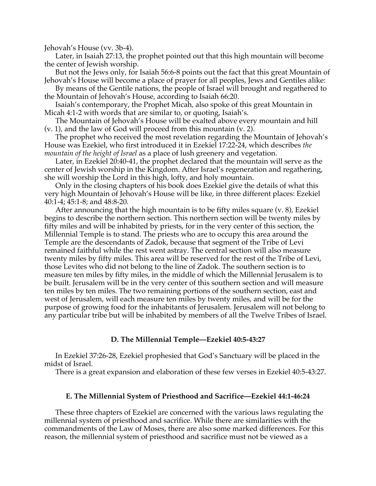Jehovah's House (vv. 3b-4).

Later, in Isaiah 27:13, the prophet pointed out that this high mountain will become the center of Jewish worship.

But not the Jews only, for Isaiah 56:6-8 points out the fact that this great Mountain of Jehovah's House will become a place of prayer for all peoples, Jews and Gentiles alike:

By means of the Gentile nations, the people of Israel will brought and regathered to the Mountain of Jehovah's House, according to Isaiah 66:20.

Isaiah's contemporary, the Prophet Micah, also spoke of this great Mountain in Micah 4:1-2 with words that are similar to, or quoting, Isaiah's.

The Mountain of Jehovah's House will be exalted above every mountain and hill (v. 1), and the law of God will proceed from this mountain (v. 2).

The prophet who received the most revelation regarding the Mountain of Jehovah's House was Ezekiel, who first introduced it in Ezekiel 17:22-24, which describes *the mountain of the height of Israel* as a place of lush greenery and vegetation.

Later, in Ezekiel 20:40-41, the prophet declared that the mountain will serve as the center of Jewish worship in the Kingdom. After Israel's regeneration and regathering, she will worship the Lord in this high, lofty, and holy mountain.

Only in the closing chapters of his book does Ezekiel give the details of what this very high Mountain of Jehovah's House will be like, in three different places: Ezekiel 40:1-4; 45:1-8; and 48:8-20.

After announcing that the high mountain is to be fifty miles square (v. 8), Ezekiel begins to describe the northern section. This northern section will be twenty miles by fifty miles and will be inhabited by priests, for in the very center of this section, the Millennial Temple is to stand. The priests who are to occupy this area around the Temple are the descendants of Zadok, because that segment of the Tribe of Levi remained faithful while the rest went astray. The central section will also measure twenty miles by fifty miles. This area will be reserved for the rest of the Tribe of Levi, those Levites who did not belong to the line of Zadok. The southern section is to measure ten miles by fifty miles, in the middle of which the Millennial Jerusalem is to be built. Jerusalem will be in the very center of this southern section and will measure ten miles by ten miles. The two remaining portions of the southern section, east and west of Jerusalem, will each measure ten miles by twenty miles, and will be for the purpose of growing food for the inhabitants of Jerusalem. Jerusalem will not belong to any particular tribe but will be inhabited by members of all the Twelve Tribes of Israel.

# **D. The Millennial Temple—Ezekiel 40:5-43:27**

In Ezekiel 37:26-28, Ezekiel prophesied that God's Sanctuary will be placed in the midst of Israel.

There is a great expansion and elaboration of these few verses in Ezekiel 40:5-43:27.

# **E. The Millennial System of Priesthood and Sacrifice—Ezekiel 44:1-46:24**

These three chapters of Ezekiel are concerned with the various laws regulating the millennial system of priesthood and sacrifice. While there are similarities with the commandments of the Law of Moses, there are also some marked differences. For this reason, the millennial system of priesthood and sacrifice must not be viewed as a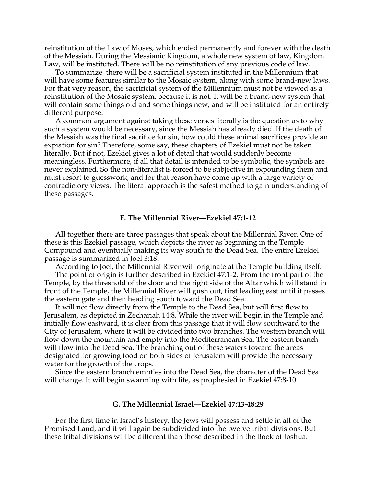reinstitution of the Law of Moses, which ended permanently and forever with the death of the Messiah. During the Messianic Kingdom, a whole new system of law, Kingdom Law, will be instituted. There will be no reinstitution of any previous code of law.

To summarize, there will be a sacrificial system instituted in the Millennium that will have some features similar to the Mosaic system, along with some brand-new laws. For that very reason, the sacrificial system of the Millennium must not be viewed as a reinstitution of the Mosaic system, because it is not. It will be a brand-new system that will contain some things old and some things new, and will be instituted for an entirely different purpose.

A common argument against taking these verses literally is the question as to why such a system would be necessary, since the Messiah has already died. If the death of the Messiah was the final sacrifice for sin, how could these animal sacrifices provide an expiation for sin? Therefore, some say, these chapters of Ezekiel must not be taken literally. But if not, Ezekiel gives a lot of detail that would suddenly become meaningless. Furthermore, if all that detail is intended to be symbolic, the symbols are never explained. So the non-literalist is forced to be subjective in expounding them and must resort to guesswork, and for that reason have come up with a large variety of contradictory views. The literal approach is the safest method to gain understanding of these passages.

# **F. The Millennial River—Ezekiel 47:1-12**

All together there are three passages that speak about the Millennial River. One of these is this Ezekiel passage, which depicts the river as beginning in the Temple Compound and eventually making its way south to the Dead Sea. The entire Ezekiel passage is summarized in Joel 3:18.

According to Joel, the Millennial River will originate at the Temple building itself.

The point of origin is further described in Ezekiel 47:1-2. From the front part of the Temple, by the threshold of the door and the right side of the Altar which will stand in front of the Temple, the Millennial River will gush out, first leading east until it passes the eastern gate and then heading south toward the Dead Sea.

It will not flow directly from the Temple to the Dead Sea, but will first flow to Jerusalem, as depicted in Zechariah 14:8. While the river will begin in the Temple and initially flow eastward, it is clear from this passage that it will flow southward to the City of Jerusalem, where it will be divided into two branches. The western branch will flow down the mountain and empty into the Mediterranean Sea. The eastern branch will flow into the Dead Sea. The branching out of these waters toward the areas designated for growing food on both sides of Jerusalem will provide the necessary water for the growth of the crops.

Since the eastern branch empties into the Dead Sea, the character of the Dead Sea will change. It will begin swarming with life, as prophesied in Ezekiel 47:8-10.

# **G. The Millennial Israel—Ezekiel 47:13-48:29**

For the first time in Israel's history, the Jews will possess and settle in all of the Promised Land, and it will again be subdivided into the twelve tribal divisions. But these tribal divisions will be different than those described in the Book of Joshua.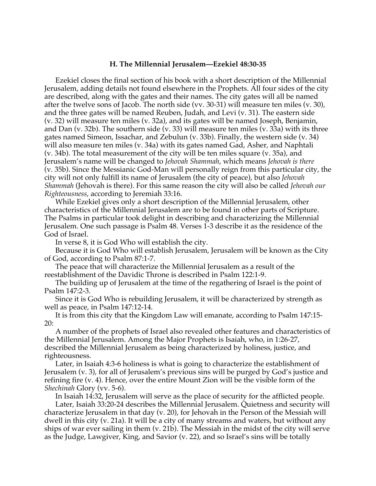# **H. The Millennial Jerusalem—Ezekiel 48:30-35**

Ezekiel closes the final section of his book with a short description of the Millennial Jerusalem, adding details not found elsewhere in the Prophets. All four sides of the city are described, along with the gates and their names. The city gates will all be named after the twelve sons of Jacob. The north side (vv. 30-31) will measure ten miles (v. 30), and the three gates will be named Reuben, Judah, and Levi (v. 31). The eastern side (v. 32) will measure ten miles (v. 32a), and its gates will be named Joseph, Benjamin, and Dan (v. 32b). The southern side (v. 33) will measure ten miles (v. 33a) with its three gates named Simeon, Issachar, and Zebulun (v. 33b). Finally, the western side (v. 34) will also measure ten miles (v. 34a) with its gates named Gad, Asher, and Naphtali (v. 34b). The total measurement of the city will be ten miles square (v. 35a), and Jerusalem's name will be changed to *Jehovah Shammah*, which means *Jehovah is there* (v. 35b). Since the Messianic God-Man will personally reign from this particular city, the city will not only fulfill its name of Jerusalem (the city of peace), but also *Jehovah Shammah* (Jehovah is there). For this same reason the city will also be called *Jehovah our Righteousness*, according to Jeremiah 33:16.

While Ezekiel gives only a short description of the Millennial Jerusalem, other characteristics of the Millennial Jerusalem are to be found in other parts of Scripture. The Psalms in particular took delight in describing and characterizing the Millennial Jerusalem. One such passage is Psalm 48. Verses 1-3 describe it as the residence of the God of Israel.

In verse 8, it is God Who will establish the city.

Because it is God Who will establish Jerusalem, Jerusalem will be known as the City of God, according to Psalm 87:1-7.

The peace that will characterize the Millennial Jerusalem as a result of the reestablishment of the Davidic Throne is described in Psalm 122:1-9.

The building up of Jerusalem at the time of the regathering of Israel is the point of Psalm 147:2-3.

Since it is God Who is rebuilding Jerusalem, it will be characterized by strength as well as peace, in Psalm 147:12-14.

It is from this city that the Kingdom Law will emanate, according to Psalm 147:15- 20:

A number of the prophets of Israel also revealed other features and characteristics of the Millennial Jerusalem. Among the Major Prophets is Isaiah, who, in 1:26-27, described the Millennial Jerusalem as being characterized by holiness, justice, and righteousness.

Later, in Isaiah 4:3-6 holiness is what is going to characterize the establishment of Jerusalem (v. 3), for all of Jerusalem's previous sins will be purged by God's justice and refining fire (v. 4). Hence, over the entire Mount Zion will be the visible form of the *Shechinah* Glory (vv. 5-6).

In Isaiah 14:32, Jerusalem will serve as the place of security for the afflicted people.

Later, Isaiah 33:20-24 describes the Millennial Jerusalem. Quietness and security will characterize Jerusalem in that day (v. 20), for Jehovah in the Person of the Messiah will dwell in this city (v. 21a). It will be a city of many streams and waters, but without any ships of war ever sailing in them (v. 21b). The Messiah in the midst of the city will serve as the Judge, Lawgiver, King, and Savior (v. 22), and so Israel's sins will be totally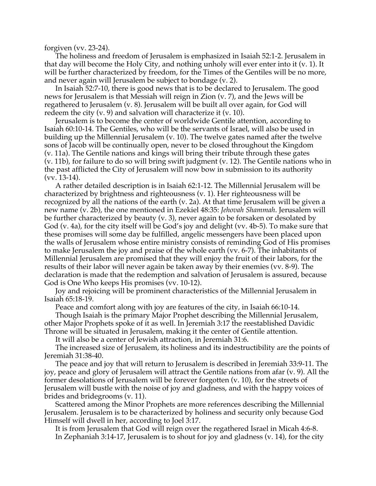forgiven (vv. 23-24).

The holiness and freedom of Jerusalem is emphasized in Isaiah 52:1-2. Jerusalem in that day will become the Holy City, and nothing unholy will ever enter into it (v. 1). It will be further characterized by freedom, for the Times of the Gentiles will be no more, and never again will Jerusalem be subject to bondage (v. 2).

In Isaiah 52:7-10, there is good news that is to be declared to Jerusalem. The good news for Jerusalem is that Messiah will reign in Zion (v. 7), and the Jews will be regathered to Jerusalem (v. 8). Jerusalem will be built all over again, for God will redeem the city (v. 9) and salvation will characterize it (v. 10).

Jerusalem is to become the center of worldwide Gentile attention, according to Isaiah 60:10-14. The Gentiles, who will be the servants of Israel, will also be used in building up the Millennial Jerusalem (v. 10). The twelve gates named after the twelve sons of Jacob will be continually open, never to be closed throughout the Kingdom (v. 11a). The Gentile nations and kings will bring their tribute through these gates (v. 11b), for failure to do so will bring swift judgment (v. 12). The Gentile nations who in the past afflicted the City of Jerusalem will now bow in submission to its authority (vv. 13-14).

A rather detailed description is in Isaiah 62:1-12. The Millennial Jerusalem will be characterized by brightness and righteousness (v. 1). Her righteousness will be recognized by all the nations of the earth (v. 2a). At that time Jerusalem will be given a new name (v. 2b), the one mentioned in Ezekiel 48:35: *Jehovah Shammah*. Jerusalem will be further characterized by beauty (v. 3), never again to be forsaken or desolated by God (v. 4a), for the city itself will be God's joy and delight (vv. 4b-5). To make sure that these promises will some day be fulfilled, angelic messengers have been placed upon the walls of Jerusalem whose entire ministry consists of reminding God of His promises to make Jerusalem the joy and praise of the whole earth (vv. 6-7). The inhabitants of Millennial Jerusalem are promised that they will enjoy the fruit of their labors, for the results of their labor will never again be taken away by their enemies (vv. 8-9). The declaration is made that the redemption and salvation of Jerusalem is assured, because God is One Who keeps His promises (vv. 10-12).

Joy and rejoicing will be prominent characteristics of the Millennial Jerusalem in Isaiah 65:18-19.

Peace and comfort along with joy are features of the city, in Isaiah 66:10-14.

Though Isaiah is the primary Major Prophet describing the Millennial Jerusalem, other Major Prophets spoke of it as well. In Jeremiah 3:17 the reestablished Davidic Throne will be situated in Jerusalem, making it the center of Gentile attention.

It will also be a center of Jewish attraction, in Jeremiah 31:6.

The increased size of Jerusalem, its holiness and its indestructibility are the points of Jeremiah 31:38-40.

The peace and joy that will return to Jerusalem is described in Jeremiah 33:9-11. The joy, peace and glory of Jerusalem will attract the Gentile nations from afar (v. 9). All the former desolations of Jerusalem will be forever forgotten (v. 10), for the streets of Jerusalem will bustle with the noise of joy and gladness, and with the happy voices of brides and bridegrooms (v. 11).

Scattered among the Minor Prophets are more references describing the Millennial Jerusalem. Jerusalem is to be characterized by holiness and security only because God Himself will dwell in her, according to Joel 3:17.

It is from Jerusalem that God will reign over the regathered Israel in Micah 4:6-8. In Zephaniah 3:14-17, Jerusalem is to shout for joy and gladness (v. 14), for the city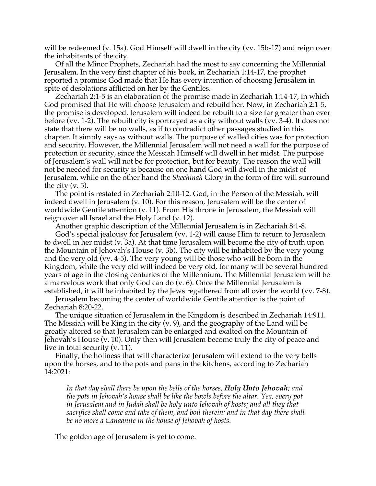will be redeemed (v. 15a). God Himself will dwell in the city (vv. 15b-17) and reign over the inhabitants of the city.

Of all the Minor Prophets, Zechariah had the most to say concerning the Millennial Jerusalem. In the very first chapter of his book, in Zechariah 1:14-17, the prophet reported a promise God made that He has every intention of choosing Jerusalem in spite of desolations afflicted on her by the Gentiles.

Zechariah 2:1-5 is an elaboration of the promise made in Zechariah 1:14-17, in which God promised that He will choose Jerusalem and rebuild her. Now, in Zechariah 2:1-5, the promise is developed. Jerusalem will indeed be rebuilt to a size far greater than ever before (vv. 1-2). The rebuilt city is portrayed as a city without walls (vv. 3-4). It does not state that there will be no walls, as if to contradict other passages studied in this chapter. It simply says *as* without walls. The purpose of walled cities was for protection and security. However, the Millennial Jerusalem will not need a wall for the purpose of protection or security, since the Messiah Himself will dwell in her midst. The purpose of Jerusalem's wall will not be for protection, but for beauty. The reason the wall will not be needed for security is because on one hand God will dwell in the midst of Jerusalem, while on the other hand the *Shechinah* Glory in the form of fire will surround the city  $(v. 5)$ .

The point is restated in Zechariah 2:10-12. God, in the Person of the Messiah, will indeed dwell in Jerusalem (v. 10). For this reason, Jerusalem will be the center of worldwide Gentile attention (v. 11). From His throne in Jerusalem, the Messiah will reign over all Israel and the Holy Land (v. 12).

Another graphic description of the Millennial Jerusalem is in Zechariah 8:1-8.

God's special jealousy for Jerusalem (vv. 1-2) will cause Him to return to Jerusalem to dwell in her midst (v. 3a). At that time Jerusalem will become the city of truth upon the Mountain of Jehovah's House (v. 3b). The city will be inhabited by the very young and the very old (vv. 4-5). The very young will be those who will be born in the Kingdom, while the very old will indeed be very old, for many will be several hundred years of age in the closing centuries of the Millennium. The Millennial Jerusalem will be a marvelous work that only God can do (v. 6). Once the Millennial Jerusalem is established, it will be inhabited by the Jews regathered from all over the world (vv. 7-8).

Jerusalem becoming the center of worldwide Gentile attention is the point of Zechariah 8:20-22.

The unique situation of Jerusalem in the Kingdom is described in Zechariah 14:911. The Messiah will be King in the city (v. 9), and the geography of the Land will be greatly altered so that Jerusalem can be enlarged and exalted on the Mountain of Jehovah's House (v. 10). Only then will Jerusalem become truly the city of peace and live in total security (v. 11).

Finally, the holiness that will characterize Jerusalem will extend to the very bells upon the horses, and to the pots and pans in the kitchens, according to Zechariah 14:2021:

*In that day shall there be upon the bells of the horses, Holy Unto Jehovah; and the pots in Jehovah's house shall be like the bowls before the altar. Yea, every pot in Jerusalem and in Judah shall be holy unto Jehovah of hosts; and all they that sacrifice shall come and take of them, and boil therein: and in that day there shall be no more a Canaanite in the house of Jehovah of hosts.*

The golden age of Jerusalem is yet to come.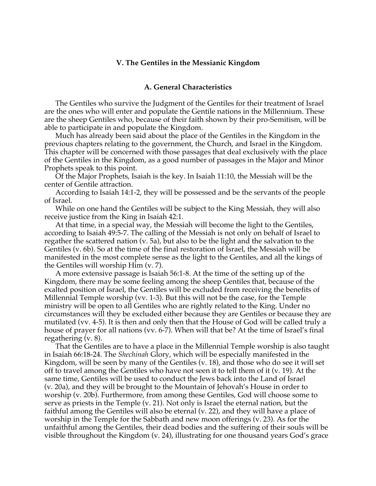# **V. The Gentiles in the Messianic Kingdom**

## **A. General Characteristics**

The Gentiles who survive the Judgment of the Gentiles for their treatment of Israel are the ones who will enter and populate the Gentile nations in the Millennium. These are the sheep Gentiles who, because of their faith shown by their pro-Semitism, will be able to participate in and populate the Kingdom.

Much has already been said about the place of the Gentiles in the Kingdom in the previous chapters relating to the government, the Church, and Israel in the Kingdom. This chapter will be concerned with those passages that deal exclusively with the place of the Gentiles in the Kingdom, as a good number of passages in the Major and Minor Prophets speak to this point.

Of the Major Prophets, Isaiah is the key. In Isaiah 11:10, the Messiah will be the center of Gentile attraction.

According to Isaiah 14:1-2, they will be possessed and be the servants of the people of Israel.

While on one hand the Gentiles will be subject to the King Messiah, they will also receive justice from the King in Isaiah 42:1.

At that time, in a special way, the Messiah will become the light to the Gentiles, according to Isaiah 49:5-7. The calling of the Messiah is not only on behalf of Israel to regather the scattered nation (v. 5a), but also to be the light and the salvation to the Gentiles (v. 6b). So at the time of the final restoration of Israel, the Messiah will be manifested in the most complete sense as the light to the Gentiles, and all the kings of the Gentiles will worship Him (v. 7).

A more extensive passage is Isaiah 56:1-8. At the time of the setting up of the Kingdom, there may be some feeling among the sheep Gentiles that, because of the exalted position of Israel, the Gentiles will be excluded from receiving the benefits of Millennial Temple worship (vv. 1-3). But this will not be the case, for the Temple ministry will be open to all Gentiles who are rightly related to the King. Under no circumstances will they be excluded either because they are Gentiles or because they are mutilated (vv. 4-5). It is then and only then that the House of God will be called truly a house of prayer for all nations (vv. 6-7). When will that be? At the time of Israel's final regathering (v. 8).

That the Gentiles are to have a place in the Millennial Temple worship is also taught in Isaiah 66:18-24. The *Shechinah* Glory, which will be especially manifested in the Kingdom, will be seen by many of the Gentiles (v. 18), and those who do see it will set off to travel among the Gentiles who have not seen it to tell them of it (v. 19). At the same time, Gentiles will be used to conduct the Jews back into the Land of Israel (v. 20a), and they will be brought to the Mountain of Jehovah's House in order to worship (v. 20b). Furthermore, from among these Gentiles, God will choose some to serve as priests in the Temple (v. 21). Not only is Israel the eternal nation, but the faithful among the Gentiles will also be eternal (v. 22), and they will have a place of worship in the Temple for the Sabbath and new moon offerings (v. 23). As for the unfaithful among the Gentiles, their dead bodies and the suffering of their souls will be visible throughout the Kingdom (v. 24), illustrating for one thousand years God's grace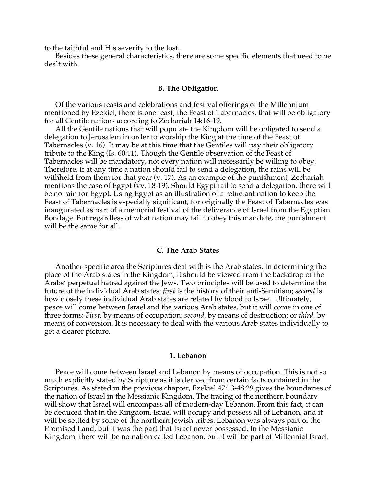to the faithful and His severity to the lost.

Besides these general characteristics, there are some specific elements that need to be dealt with.

# **B. The Obligation**

Of the various feasts and celebrations and festival offerings of the Millennium mentioned by Ezekiel, there is one feast, the Feast of Tabernacles, that will be obligatory for all Gentile nations according to Zechariah 14:16-19.

All the Gentile nations that will populate the Kingdom will be obligated to send a delegation to Jerusalem in order to worship the King at the time of the Feast of Tabernacles (v. 16). It may be at this time that the Gentiles will pay their obligatory tribute to the King (Is. 60:11). Though the Gentile observation of the Feast of Tabernacles will be mandatory, not every nation will necessarily be willing to obey. Therefore, if at any time a nation should fail to send a delegation, the rains will be withheld from them for that year (v. 17). As an example of the punishment, Zechariah mentions the case of Egypt (vv. 18-19). Should Egypt fail to send a delegation, there will be no rain for Egypt. Using Egypt as an illustration of a reluctant nation to keep the Feast of Tabernacles is especially significant, for originally the Feast of Tabernacles was inaugurated as part of a memorial festival of the deliverance of Israel from the Egyptian Bondage. But regardless of what nation may fail to obey this mandate, the punishment will be the same for all.

# **C. The Arab States**

Another specific area the Scriptures deal with is the Arab states. In determining the place of the Arab states in the Kingdom, it should be viewed from the backdrop of the Arabs' perpetual hatred against the Jews. Two principles will be used to determine the future of the individual Arab states: *first* is the history of their anti-Semitism; *second* is how closely these individual Arab states are related by blood to Israel. Ultimately, peace will come between Israel and the various Arab states, but it will come in one of three forms: *First*, by means of occupation; *second*, by means of destruction; or *third*, by means of conversion. It is necessary to deal with the various Arab states individually to get a clearer picture.

### **1. Lebanon**

Peace will come between Israel and Lebanon by means of occupation. This is not so much explicitly stated by Scripture as it is derived from certain facts contained in the Scriptures. As stated in the previous chapter, Ezekiel 47:13-48:29 gives the boundaries of the nation of Israel in the Messianic Kingdom. The tracing of the northern boundary will show that Israel will encompass all of modern-day Lebanon. From this fact, it can be deduced that in the Kingdom, Israel will occupy and possess all of Lebanon, and it will be settled by some of the northern Jewish tribes. Lebanon was always part of the Promised Land, but it was the part that Israel never possessed. In the Messianic Kingdom, there will be no nation called Lebanon, but it will be part of Millennial Israel.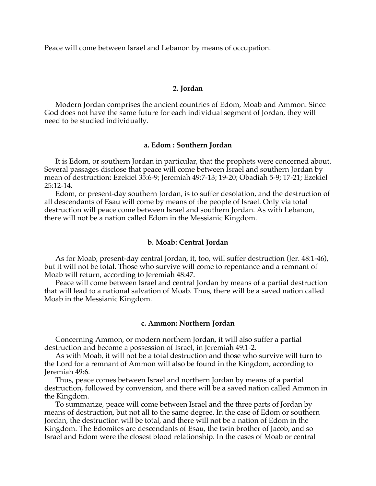Peace will come between Israel and Lebanon by means of occupation.

# **2. Jordan**

Modern Jordan comprises the ancient countries of Edom, Moab and Ammon. Since God does not have the same future for each individual segment of Jordan, they will need to be studied individually.

#### **a. Edom : Southern Jordan**

It is Edom, or southern Jordan in particular, that the prophets were concerned about. Several passages disclose that peace will come between Israel and southern Jordan by mean of destruction: Ezekiel 35:6-9; Jeremiah 49:7-13; 19-20; Obadiah 5-9; 17-21; Ezekiel 25:12-14.

Edom, or present-day southern Jordan, is to suffer desolation, and the destruction of all descendants of Esau will come by means of the people of Israel. Only via total destruction will peace come between Israel and southern Jordan. As with Lebanon, there will not be a nation called Edom in the Messianic Kingdom.

## **b. Moab: Central Jordan**

As for Moab, present-day central Jordan, it, too, will suffer destruction (Jer. 48:1-46), but it will not be total. Those who survive will come to repentance and a remnant of Moab will return, according to Jeremiah 48:47.

Peace will come between Israel and central Jordan by means of a partial destruction that will lead to a national salvation of Moab. Thus, there will be a saved nation called Moab in the Messianic Kingdom.

# **c. Ammon: Northern Jordan**

Concerning Ammon, or modern northern Jordan, it will also suffer a partial destruction and become a possession of Israel, in Jeremiah 49:1-2.

As with Moab, it will not be a total destruction and those who survive will turn to the Lord for a remnant of Ammon will also be found in the Kingdom, according to Jeremiah 49:6.

Thus, peace comes between Israel and northern Jordan by means of a partial destruction, followed by conversion, and there will be a saved nation called Ammon in the Kingdom.

To summarize, peace will come between Israel and the three parts of Jordan by means of destruction, but not all to the same degree. In the case of Edom or southern Jordan, the destruction will be total, and there will not be a nation of Edom in the Kingdom. The Edomites are descendants of Esau, the twin brother of Jacob, and so Israel and Edom were the closest blood relationship. In the cases of Moab or central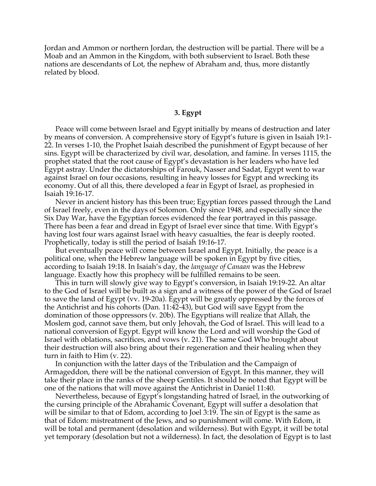Jordan and Ammon or northern Jordan, the destruction will be partial. There will be a Moab and an Ammon in the Kingdom, with both subservient to Israel. Both these nations are descendants of Lot, the nephew of Abraham and, thus, more distantly related by blood.

# **3. Egypt**

Peace will come between Israel and Egypt initially by means of destruction and later by means of conversion. A comprehensive story of Egypt's future is given in Isaiah 19:1- 22. In verses 1-10, the Prophet Isaiah described the punishment of Egypt because of her sins. Egypt will be characterized by civil war, desolation, and famine. In verses 1115, the prophet stated that the root cause of Egypt's devastation is her leaders who have led Egypt astray. Under the dictatorships of Farouk, Nasser and Sadat, Egypt went to war against Israel on four occasions, resulting in heavy losses for Egypt and wrecking its economy. Out of all this, there developed a fear in Egypt of Israel, as prophesied in Isaiah 19:16-17.

Never in ancient history has this been true; Egyptian forces passed through the Land of Israel freely, even in the days of Solomon. Only since 1948, and especially since the Six Day War, have the Egyptian forces evidenced the fear portrayed in this passage. There has been a fear and dread in Egypt of Israel ever since that time. With Egypt's having lost four wars against Israel with heavy casualties, the fear is deeply rooted. Prophetically, today is still the period of Isaiah 19:16-17.

But eventually peace will come between Israel and Egypt. Initially, the peace is a political one, when the Hebrew language will be spoken in Egypt by five cities, according to Isaiah 19:18. In Isaiah's day, the *language of Canaan* was the Hebrew language. Exactly how this prophecy will be fulfilled remains to be seen.

This in turn will slowly give way to Egypt's conversion, in Isaiah 19:19-22. An altar to the God of Israel will be built as a sign and a witness of the power of the God of Israel to save the land of Egypt (vv. 19-20a). Egypt will be greatly oppressed by the forces of the Antichrist and his cohorts (Dan. 11:42-43), but God will save Egypt from the domination of those oppressors (v. 20b). The Egyptians will realize that Allah, the Moslem god, cannot save them, but only Jehovah, the God of Israel. This will lead to a national conversion of Egypt. Egypt will know the Lord and will worship the God of Israel with oblations, sacrifices, and vows (v. 21). The same God Who brought about their destruction will also bring about their regeneration and their healing when they turn in faith to Him (v. 22).

In conjunction with the latter days of the Tribulation and the Campaign of Armageddon, there will be the national conversion of Egypt. In this manner, they will take their place in the ranks of the sheep Gentiles. It should be noted that Egypt will be one of the nations that will move against the Antichrist in Daniel 11:40.

Nevertheless, because of Egypt's longstanding hatred of Israel, in the outworking of the cursing principle of the Abrahamic Covenant, Egypt will suffer a desolation that will be similar to that of Edom, according to Joel 3:19. The sin of Egypt is the same as that of Edom: mistreatment of the Jews, and so punishment will come. With Edom, it will be total and permanent (desolation and wilderness). But with Egypt, it will be total yet temporary (desolation but not a wilderness). In fact, the desolation of Egypt is to last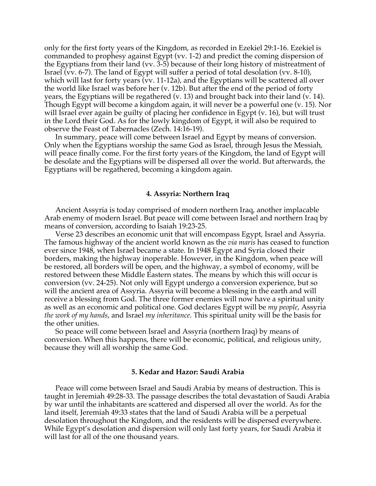only for the first forty years of the Kingdom, as recorded in Ezekiel 29:1-16. Ezekiel is commanded to prophesy against Egypt (vv. 1-2) and predict the coming dispersion of the Egyptians from their land (vv. 3-5) because of their long history of mistreatment of Israel (vv. 6-7). The land of Egypt will suffer a period of total desolation (vv. 8-10), which will last for forty years (vv. 11-12a), and the Egyptians will be scattered all over the world like Israel was before her (v. 12b). But after the end of the period of forty years, the Egyptians will be regathered (v. 13) and brought back into their land (v. 14). Though Egypt will become a kingdom again, it will never be a powerful one (v. 15). Nor will Israel ever again be guilty of placing her confidence in Egypt (v. 16), but will trust in the Lord their God. As for the lowly kingdom of Egypt, it will also be required to observe the Feast of Tabernacles (Zech. 14:16-19).

In summary, peace will come between Israel and Egypt by means of conversion. Only when the Egyptians worship the same God as Israel, through Jesus the Messiah, will peace finally come. For the first forty years of the Kingdom, the land of Egypt will be desolate and the Egyptians will be dispersed all over the world. But afterwards, the Egyptians will be regathered, becoming a kingdom again.

### **4. Assyria: Northern Iraq**

Ancient Assyria is today comprised of modern northern Iraq, another implacable Arab enemy of modern Israel. But peace will come between Israel and northern Iraq by means of conversion, according to Isaiah 19:23-25.

Verse 23 describes an economic unit that will encompass Egypt, Israel and Assyria. The famous highway of the ancient world known as the *via maris* has ceased to function ever since 1948, when Israel became a state. In 1948 Egypt and Syria closed their borders, making the highway inoperable. However, in the Kingdom, when peace will be restored, all borders will be open, and the highway, a symbol of economy, will be restored between these Middle Eastern states. The means by which this will occur is conversion (vv. 24-25). Not only will Egypt undergo a conversion experience, but so will the ancient area of Assyria. Assyria will become a blessing in the earth and will receive a blessing from God. The three former enemies will now have a spiritual unity as well as an economic and political one. God declares Egypt will be *my people*, Assyria *the work of my hands*, and Israel *my inheritance*. This spiritual unity will be the basis for the other unities.

So peace will come between Israel and Assyria (northern Iraq) by means of conversion. When this happens, there will be economic, political, and religious unity, because they will all worship the same God.

### **5. Kedar and Hazor: Saudi Arabia**

Peace will come between Israel and Saudi Arabia by means of destruction. This is taught in Jeremiah 49:28-33. The passage describes the total devastation of Saudi Arabia by war until the inhabitants are scattered and dispersed all over the world. As for the land itself, Jeremiah 49:33 states that the land of Saudi Arabia will be a perpetual desolation throughout the Kingdom, and the residents will be dispersed everywhere. While Egypt's desolation and dispersion will only last forty years, for Saudi Arabia it will last for all of the one thousand years.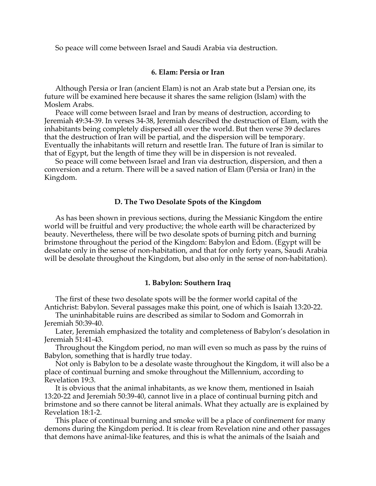So peace will come between Israel and Saudi Arabia via destruction.

# **6. Elam: Persia or Iran**

Although Persia or Iran (ancient Elam) is not an Arab state but a Persian one, its future will be examined here because it shares the same religion (Islam) with the Moslem Arabs.

Peace will come between Israel and Iran by means of destruction, according to Jeremiah 49:34-39. In verses 34-38, Jeremiah described the destruction of Elam, with the inhabitants being completely dispersed all over the world. But then verse 39 declares that the destruction of Iran will be partial, and the dispersion will be temporary. Eventually the inhabitants will return and resettle Iran. The future of Iran is similar to that of Egypt, but the length of time they will be in dispersion is not revealed.

So peace will come between Israel and Iran via destruction, dispersion, and then a conversion and a return. There will be a saved nation of Elam (Persia or Iran) in the Kingdom.

# **D. The Two Desolate Spots of the Kingdom**

As has been shown in previous sections, during the Messianic Kingdom the entire world will be fruitful and very productive; the whole earth will be characterized by beauty. Nevertheless, there will be two desolate spots of burning pitch and burning brimstone throughout the period of the Kingdom: Babylon and Edom. (Egypt will be desolate only in the sense of non-habitation, and that for only forty years, Saudi Arabia will be desolate throughout the Kingdom, but also only in the sense of non-habitation).

# **1. Babylon: Southern Iraq**

The first of these two desolate spots will be the former world capital of the Antichrist: Babylon. Several passages make this point, one of which is Isaiah 13:20-22.

The uninhabitable ruins are described as similar to Sodom and Gomorrah in Jeremiah 50:39-40.

Later, Jeremiah emphasized the totality and completeness of Babylon's desolation in Jeremiah 51:41-43.

Throughout the Kingdom period, no man will even so much as pass by the ruins of Babylon, something that is hardly true today.

Not only is Babylon to be a desolate waste throughout the Kingdom, it will also be a place of continual burning and smoke throughout the Millennium, according to Revelation 19:3.

It is obvious that the animal inhabitants, as we know them, mentioned in Isaiah 13:20-22 and Jeremiah 50:39-40, cannot live in a place of continual burning pitch and brimstone and so there cannot be literal animals. What they actually are is explained by Revelation 18:1-2.

This place of continual burning and smoke will be a place of confinement for many demons during the Kingdom period. It is clear from Revelation nine and other passages that demons have animal-like features, and this is what the animals of the Isaiah and